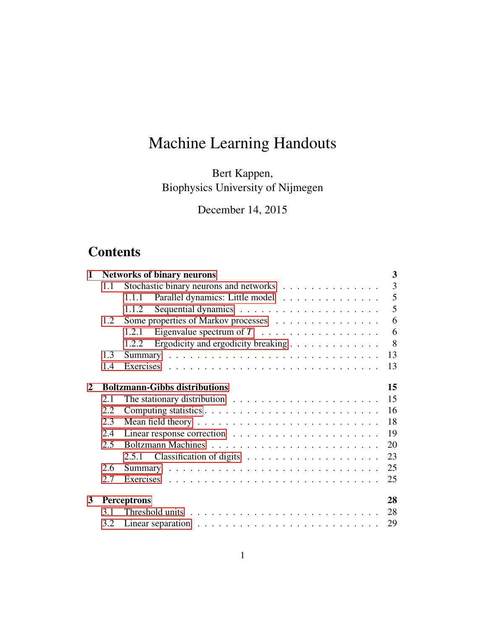# Machine Learning Handouts

Bert Kappen, Biophysics University of Nijmegen

December 14, 2015

## **Contents**

| $\mathbf{1}$ | 3<br><b>Networks of binary neurons</b> |                                                                                |    |  |  |
|--------------|----------------------------------------|--------------------------------------------------------------------------------|----|--|--|
|              | 1.1                                    | Stochastic binary neurons and networks                                         | 3  |  |  |
|              |                                        | Parallel dynamics: Little model<br>1.1.1                                       | 5  |  |  |
|              |                                        | 1.1.2                                                                          | 5  |  |  |
|              | Some properties of Markov processes    | 6                                                                              |    |  |  |
|              |                                        | Eigenvalue spectrum of $T \dots \dots \dots \dots \dots \dots$<br>1.2.1        | 6  |  |  |
|              |                                        | Ergodicity and ergodicity breaking<br>1.2.2                                    | 8  |  |  |
|              | 1.3                                    |                                                                                | 13 |  |  |
|              | 1.4                                    |                                                                                | 13 |  |  |
| 2            |                                        | <b>Boltzmann-Gibbs distributions</b>                                           | 15 |  |  |
|              | 2.1                                    | The stationary distribution $\ldots \ldots \ldots \ldots \ldots \ldots \ldots$ | 15 |  |  |
|              | 2.2                                    |                                                                                | 16 |  |  |
|              | 2.3                                    |                                                                                | 18 |  |  |
|              | 2.4                                    |                                                                                | 19 |  |  |
|              | 2.5                                    |                                                                                | 20 |  |  |
|              |                                        |                                                                                | 23 |  |  |
|              | 2.6                                    |                                                                                | 25 |  |  |
|              | 2.7                                    |                                                                                | 25 |  |  |
| $\mathbf{3}$ |                                        | Perceptrons                                                                    | 28 |  |  |
|              | 3.1                                    |                                                                                | 28 |  |  |
|              | 3.2                                    |                                                                                | 29 |  |  |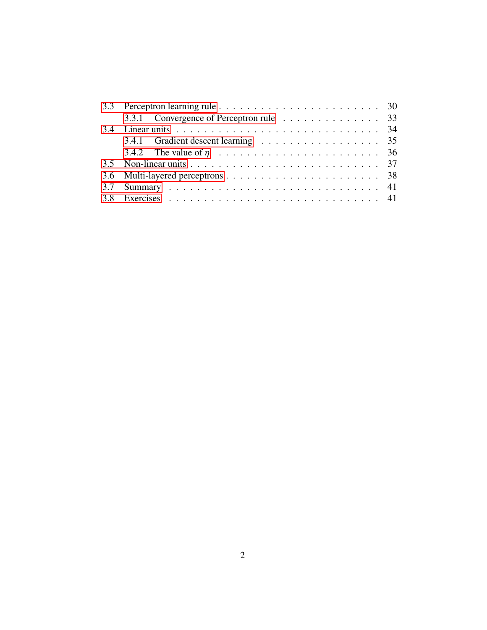|  | 3.3.1 Convergence of Perceptron rule 33 |  |
|--|-----------------------------------------|--|
|  |                                         |  |
|  | 3.4.1 Gradient descent learning 35      |  |
|  |                                         |  |
|  |                                         |  |
|  |                                         |  |
|  |                                         |  |
|  |                                         |  |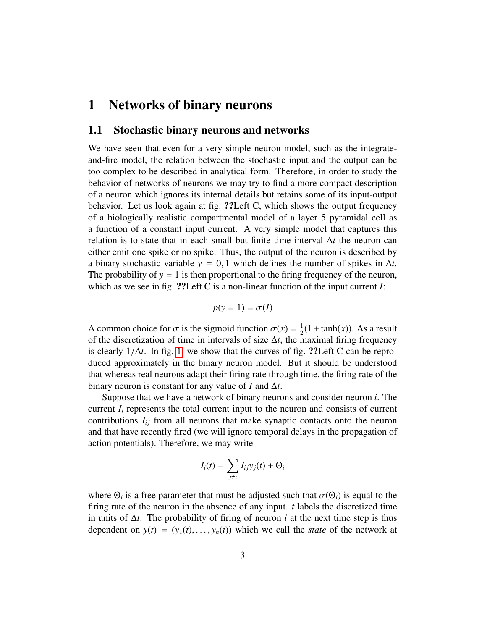## <span id="page-2-0"></span>1 Networks of binary neurons

#### <span id="page-2-1"></span>1.1 Stochastic binary neurons and networks

We have seen that even for a very simple neuron model, such as the integrateand-fire model, the relation between the stochastic input and the output can be too complex to be described in analytical form. Therefore, in order to study the behavior of networks of neurons we may try to find a more compact description of a neuron which ignores its internal details but retains some of its input-output behavior. Let us look again at fig. ??Left C, which shows the output frequency of a biologically realistic compartmental model of a layer 5 pyramidal cell as a function of a constant input current. A very simple model that captures this relation is to state that in each small but finite time interval ∆*t* the neuron can either emit one spike or no spike. Thus, the output of the neuron is described by a binary stochastic variable  $y = 0, 1$  which defines the number of spikes in  $\Delta t$ . The probability of  $y = 1$  is then proportional to the firing frequency of the neuron, which as we see in fig. ??Left C is a non-linear function of the input current *I*:

$$
p(y=1) = \sigma(I)
$$

A common choice for  $\sigma$  is the sigmoid function  $\sigma(x) = \frac{1}{2}$ <br>of the discretization of time in intervals of size At the n  $\frac{1}{2}(1 + \tanh(x))$ . As a result of the discretization of time in intervals of size ∆*t*, the maximal firing frequency is clearly  $1/\Delta t$ . In fig. [1,](#page-3-0) we show that the curves of fig. ??Left C can be reproduced approximately in the binary neuron model. But it should be understood that whereas real neurons adapt their firing rate through time, the firing rate of the binary neuron is constant for any value of *I* and  $\Delta t$ .

Suppose that we have a network of binary neurons and consider neuron *i*. The current  $I_i$  represents the total current input to the neuron and consists of current contributions  $I_{ij}$  from all neurons that make synaptic contacts onto the neuron and that have recently fired (we will ignore temporal delays in the propagation of action potentials). Therefore, we may write

$$
I_i(t) = \sum_{j \neq i} I_{ij} y_j(t) + \Theta_i
$$

where  $\Theta_i$  is a free parameter that must be adjusted such that  $\sigma(\Theta_i)$  is equal to the firm a rate of the neuron in the absence of any input to labels the discretized time firing rate of the neuron in the absence of any input. *t* labels the discretized time in units of  $\Delta t$ . The probability of firing of neuron *i* at the next time step is thus dependent on  $y(t) = (y_1(t), \ldots, y_n(t))$  which we call the *state* of the network at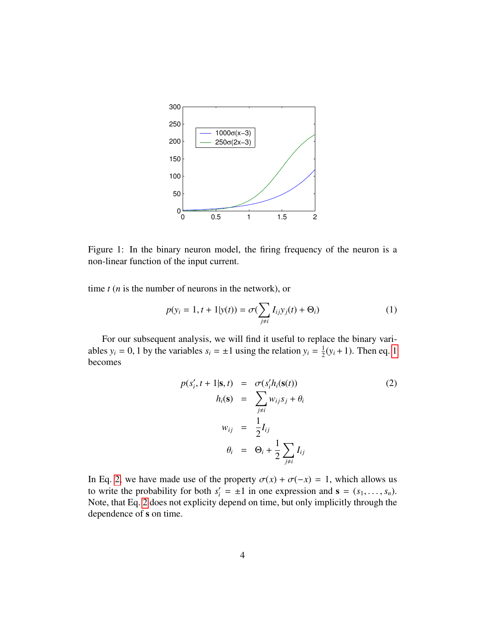

<span id="page-3-0"></span>Figure 1: In the binary neuron model, the firing frequency of the neuron is a non-linear function of the input current.

time *t* (*n* is the number of neurons in the network), or

<span id="page-3-1"></span>
$$
p(y_i = 1, t + 1 | y(t)) = \sigma(\sum_{j \neq i} I_{ij} y_j(t) + \Theta_i)
$$
 (1)

For our subsequent analysis, we will find it useful to replace the binary variables  $y_i = 0$ , 1 by the variables  $s_i = \pm 1$  using the relation  $y_i = \frac{1}{2}$  $\frac{1}{2}(y_i + 1)$  $\frac{1}{2}(y_i + 1)$  $\frac{1}{2}(y_i + 1)$ . Then eq. 1 becomes

<span id="page-3-2"></span>
$$
p(s'_{i}, t + 1 | \mathbf{s}, t) = \sigma(s'_{i} h_{i}(\mathbf{s}(t))
$$
  
\n
$$
h_{i}(\mathbf{s}) = \sum_{j \neq i} w_{ij} s_{j} + \theta_{i}
$$
  
\n
$$
w_{ij} = \frac{1}{2} I_{ij}
$$
  
\n
$$
\theta_{i} = \Theta_{i} + \frac{1}{2} \sum_{j \neq i} I_{ij}
$$
\n(2)

In Eq. [2,](#page-3-2) we have made use of the property  $\sigma(x) + \sigma(-x) = 1$ , which allows us to write the probability for both  $s'_i = \pm 1$  in one expression and  $\mathbf{s} = (s_1, \dots, s_n)$ .<br>Note that Eq. 2 does not explicity depend on time, but only implicitly through the Note, that Eq. [2](#page-3-2) does not explicity depend on time, but only implicitly through the dependence of s on time.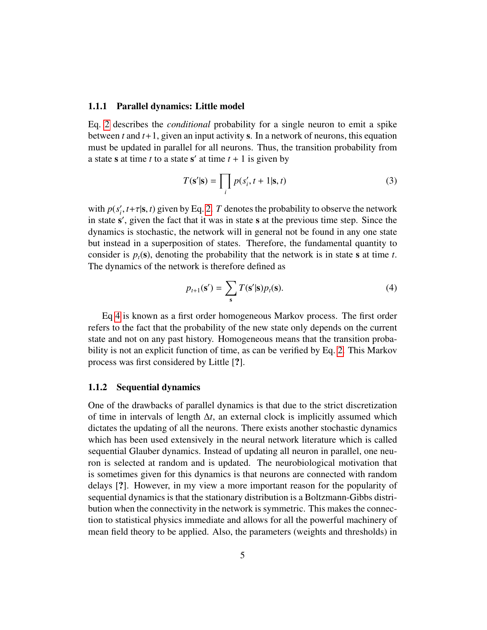#### <span id="page-4-0"></span>1.1.1 Parallel dynamics: Little model

Eq. [2](#page-3-2) describes the *conditional* probability for a single neuron to emit a spike between *t* and *t*+1, given an input activity s. In a network of neurons, this equation must be updated in parallel for all neurons. Thus, the transition probability from a state **s** at time *t* to a state **s'** at time  $t + 1$  is given by

<span id="page-4-3"></span>
$$
T(\mathbf{s}'|\mathbf{s}) = \prod_{i} p(s'_i, t+1|\mathbf{s}, t)
$$
 (3)

with  $p(s)$  $\tau_i'$ ,  $t+\tau|\mathbf{s}, t$ ) given by Eq. [2.](#page-3-2) *T* denotes the probability to observe the network  $\mathbf{s}'$  given the fact that it was in state  $\mathbf{s}$  at the previous time step. Since the in state s', given the fact that it was in state s at the previous time step. Since the dynamics is stochastic, the network will in general not be found in any one state but instead in a superposition of states. Therefore, the fundamental quantity to consider is  $p_t(s)$ , denoting the probability that the network is in state s at time *t*. The dynamics of the network is therefore defined as

<span id="page-4-2"></span>
$$
p_{t+1}(\mathbf{s}') = \sum_{\mathbf{s}} T(\mathbf{s}'|\mathbf{s}) p_t(\mathbf{s}). \tag{4}
$$

Eq [4](#page-4-2) is known as a first order homogeneous Markov process. The first order refers to the fact that the probability of the new state only depends on the current state and not on any past history. Homogeneous means that the transition probability is not an explicit function of time, as can be verified by Eq. [2.](#page-3-2) This Markov process was first considered by Little [?].

#### <span id="page-4-1"></span>1.1.2 Sequential dynamics

One of the drawbacks of parallel dynamics is that due to the strict discretization of time in intervals of length ∆*t*, an external clock is implicitly assumed which dictates the updating of all the neurons. There exists another stochastic dynamics which has been used extensively in the neural network literature which is called sequential Glauber dynamics. Instead of updating all neuron in parallel, one neuron is selected at random and is updated. The neurobiological motivation that is sometimes given for this dynamics is that neurons are connected with random delays [?]. However, in my view a more important reason for the popularity of sequential dynamics is that the stationary distribution is a Boltzmann-Gibbs distribution when the connectivity in the network is symmetric. This makes the connection to statistical physics immediate and allows for all the powerful machinery of mean field theory to be applied. Also, the parameters (weights and thresholds) in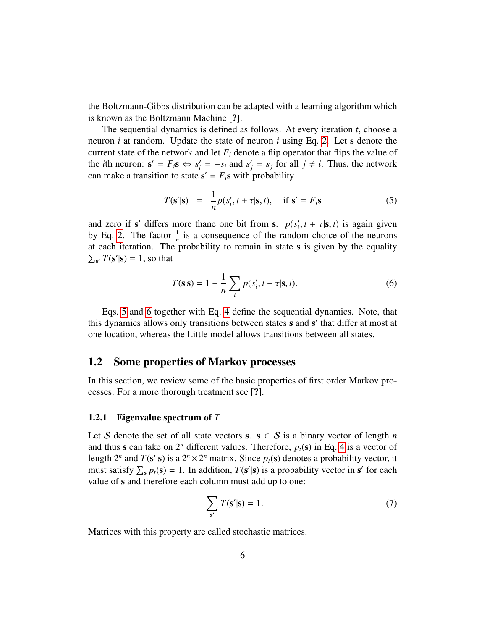the Boltzmann-Gibbs distribution can be adapted with a learning algorithm which is known as the Boltzmann Machine [?].

The sequential dynamics is defined as follows. At every iteration *t*, choose a neuron *i* at random. Update the state of neuron *i* using Eq. [2.](#page-3-2) Let s denote the current state of the network and let  $F_i$  denote a flip operator that flips the value of the *i*th neuron:  $s' = F_i s \Leftrightarrow s'_i = -s_i$  and  $s'_j = s_j$  for all  $j \neq i$ . Thus, the network can make a transition to state  $\mathbf{s}' = F_i \mathbf{s}$  with probability

<span id="page-5-2"></span>
$$
T(\mathbf{s}'|\mathbf{s}) = \frac{1}{n}p(s'_i, t + \tau|\mathbf{s}, t), \quad \text{if } \mathbf{s}' = F_i \mathbf{s} \tag{5}
$$

and zero if s' differs more thane one bit from s.  $p(s)$  $\tau_i', t + \tau | \mathbf{s}, t$ ) is again given<br>om choice of the neurons by Eq. [2.](#page-3-2) The factor  $\frac{1}{n}$  is a consequence of the random choice of the neurons at each iteration. The probability to remain in state s is given by the equality  $\sum_{s'} T(s'|s) = 1$ , so that

<span id="page-5-3"></span>
$$
T(\mathbf{s}|\mathbf{s}) = 1 - \frac{1}{n} \sum_{i} p(s'_i, t + \tau | \mathbf{s}, t).
$$
 (6)

Eqs. [5](#page-5-2) and [6](#page-5-3) together with Eq. [4](#page-4-2) define the sequential dynamics. Note, that this dynamics allows only transitions between states s and s' that differ at most at one location, whereas the Little model allows transitions between all states.

## <span id="page-5-0"></span>1.2 Some properties of Markov processes

In this section, we review some of the basic properties of first order Markov processes. For a more thorough treatment see [?].

#### <span id="page-5-1"></span>1.2.1 Eigenvalue spectrum of *T*

Let S denote the set of all state vectors s.  $s \in S$  is a binary vector of length *n* and thus s can take on  $2^n$  different values. Therefore,  $p_t(s)$  in Eq. [4](#page-4-2) is a vector of length  $2^n$  and  $T(s'|s)$  is a  $2^n \times 2^n$  matrix. Since  $p_t(s)$  denotes a probability vector, it must satisfy  $\sum_{s} p_t(s) = 1$ . In addition,  $T(s'|s)$  is a probability vector in s' for each value of s and therefore each column must add up to one:

<span id="page-5-4"></span>
$$
\sum_{s'} T(s'|s) = 1.
$$
\n(7)

Matrices with this property are called stochastic matrices.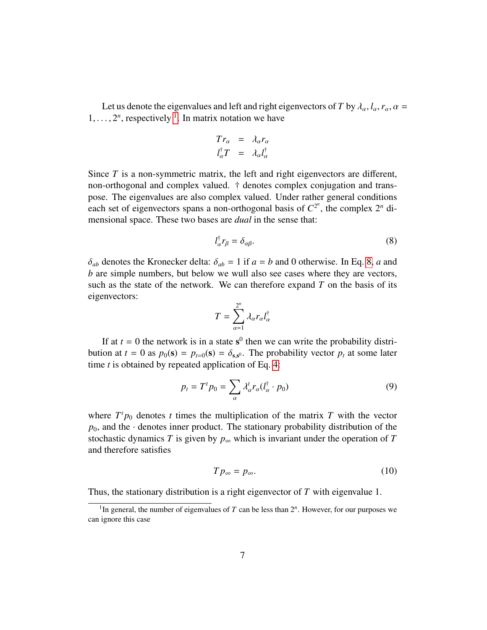Let us denote the eigenvalues and left and right eigenvectors of *T* by  $\lambda_{\alpha}$ ,  $l_{\alpha}$ ,  $r_{\alpha}$ ,  $\alpha$  =  $1, \ldots, 2^n$  $1, \ldots, 2^n$ , respectively <sup>1</sup>. In matrix notation we have

<span id="page-6-1"></span>
$$
Tr_{\alpha} = \lambda_{\alpha} r_{\alpha}
$$
  

$$
l_{\alpha}^{\dagger} T = \lambda_{\alpha} l_{\alpha}^{\dagger}
$$

Since *T* is a non-symmetric matrix, the left and right eigenvectors are different, non-orthogonal and complex valued. † denotes complex conjugation and transpose. The eigenvalues are also complex valued. Under rather general conditions each set of eigenvectors spans a non-orthogonal basis of  $C^{2^n}$ , the complex  $2^n$  dimensional space. These two bases are *dual* in the sense that:

$$
l_{\alpha}^{\dagger}r_{\beta} = \delta_{\alpha\beta}.
$$
 (8)

 $\delta_{ab}$  denotes the Kronecker delta:  $\delta_{ab} = 1$  if  $a = b$  and 0 otherwise. In Eq. [8,](#page-6-1) *a* and *b* are simple numbers, but below we wull also see cases where they are vectors, such as the state of the network. We can therefore expand  $T$  on the basis of its eigenvectors:

$$
T = \sum_{\alpha=1}^{2^n} \lambda_\alpha r_\alpha l_\alpha^\dagger
$$

If at  $t = 0$  the network is in a state  $s^0$  then we can write the probability distribution at  $t = 0$  as  $p_0(\mathbf{s}) = p_{t=0}(\mathbf{s}) = \delta_{\mathbf{s},\mathbf{s}^0}$ . The probability vector  $p_t$  at some later time t is obtained by repeated application of Eq. 4: time *t* is obtained by repeated application of Eq. [4:](#page-4-2)

<span id="page-6-2"></span>
$$
p_t = T^t p_0 = \sum_{\alpha} \lambda_{\alpha}^t r_{\alpha} (l_{\alpha}^\dagger \cdot p_0)
$$
\n(9)

where  $T^t p_0$  denotes *t* times the multiplication of the matrix *T* with the vector  $p_0$ , and the · denotes inner product. The stationary probability distribution of the stochastic dynamics *T* is given by  $p_{\infty}$  which is invariant under the operation of *T* and therefore satisfies

<span id="page-6-3"></span>
$$
Tp_{\infty} = p_{\infty}.\tag{10}
$$

Thus, the stationary distribution is a right eigenvector of *T* with eigenvalue 1.

<span id="page-6-0"></span><sup>&</sup>lt;sup>1</sup>In general, the number of eigenvalues of  $T$  can be less than  $2^n$ . However, for our purposes we can ignore this case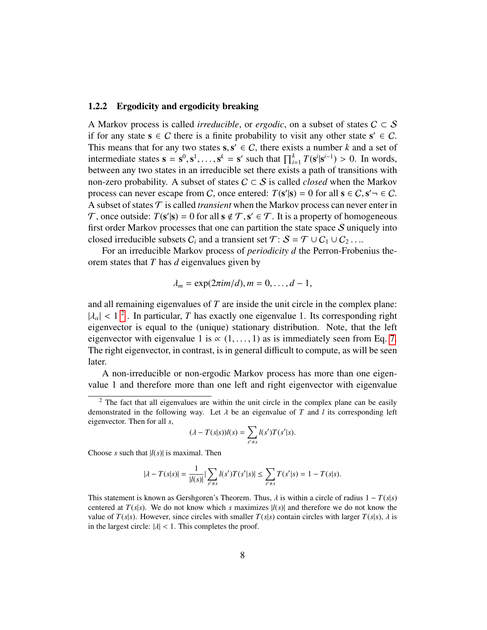#### <span id="page-7-0"></span>1.2.2 Ergodicity and ergodicity breaking

A Markov process is called *irreducible*, or *ergodic*, on a subset of states  $C \subset S$ if for any state  $s \in C$  there is a finite probability to visit any other state  $s' \in C$ . This means that for any two states  $s, s' \in C$ , there exists a number *k* and a set of intermediate states  $s - s^0 s^1$   $s^k - s'$  such that  $\prod^k T(s^i | s^{i-1}) > 0$ . In words intermediate states  $\mathbf{s} = \mathbf{s}^0, \mathbf{s}^1, \dots, \mathbf{s}^k = \mathbf{s}'$  such that  $\prod_{i=1}^k T(\mathbf{s}^i | \mathbf{s}^{i-1}) > 0$ . In words, between any two states in an irreducible set there exists a path of transitions with between any two states in an irreducible set there exists a path of transitions with non-zero probability. A subset of states  $C \subset S$  is called *closed* when the Markov process can never escape from C, once entered:  $T(s'|s) = 0$  for all  $s \in C$ ,  $s' \neg \in C$ .<br>A subset of states  $\tau$  is called *transient* when the Markov process can never enter in A subset of states  $\mathcal T$  is called *transient* when the Markov process can never enter in T, once outside:  $T(s'|s) = 0$  for all  $s \notin T$ ,  $s' \in T$ . It is a property of homogeneous first order Markov processes that one can partition the state space. Supposely into first order Markov processes that one can partition the state space  $S$  uniquely into closed irreducible subsets  $C_i$  and a transient set  $\mathcal{T}: \mathcal{S} = \mathcal{T} \cup C_1 \cup C_2 \dots$ 

For an irreducible Markov process of *periodicity d* the Perron-Frobenius theorem states that *T* has *d* eigenvalues given by

$$
\lambda_m = \exp(2\pi im/d), m = 0, \ldots, d-1,
$$

and all remaining eigenvalues of *T* are inside the unit circle in the complex plane:  $|\lambda_{\alpha}| < 1^2$  $|\lambda_{\alpha}| < 1^2$ . In particular, *T* has exactly one eigenvalue 1. Its corresponding right eigenvector is equal to the (unique) stationary distribution. Note that the left eigenvector is equal to the (unique) stationary distribution. Note, that the left eigenvector with eigenvalue 1 is  $\alpha$  (1, ..., 1) as is immediately seen from Eq. [7.](#page-5-4) The right eigenvector, in contrast, is in general difficult to compute, as will be seen later.

A non-irreducible or non-ergodic Markov process has more than one eigenvalue 1 and therefore more than one left and right eigenvector with eigenvalue

$$
(\lambda - T(s|s))l(s) = \sum_{s' \neq s} l(s')T(s'|s).
$$

Choose *s* such that  $|l(s)|$  is maximal. Then

$$
|\lambda - T(s|s)| = \frac{1}{|l(s)|} |\sum_{s' \neq s} l(s')T(s'|s)| \leq \sum_{s' \neq s} T(s'|s) = 1 - T(s|s).
$$

This statement is known as Gershgoren's Theorem. Thus,  $\lambda$  is within a circle of radius  $1 - T(s|s)$ centered at  $T(s|s)$ . We do not know which *s* maximizes  $|l(s)|$  and therefore we do not know the value of  $T(s|s)$ . However, since circles with smaller  $T(s|s)$  contain circles with larger  $T(s|s)$ ,  $\lambda$  is in the largest circle:  $|\lambda|$  < 1. This completes the proof.

<span id="page-7-1"></span> $2$  The fact that all eigenvalues are within the unit circle in the complex plane can be easily demonstrated in the following way. Let  $\lambda$  be an eigenvalue of *T* and *l* its corresponding left eigenvector. Then for all *s*,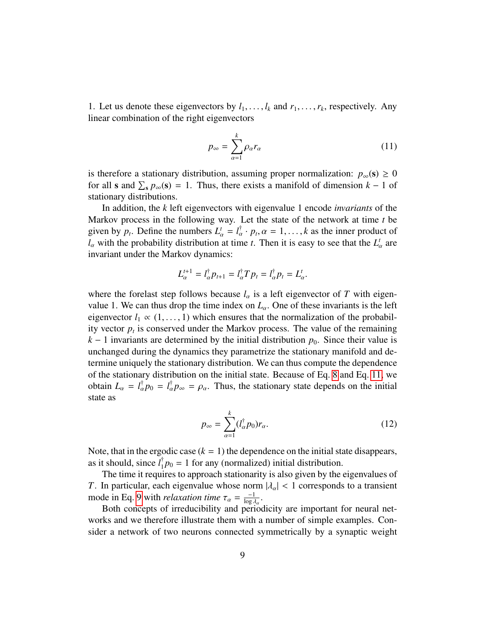1. Let us denote these eigenvectors by  $l_1, \ldots, l_k$  and  $r_1, \ldots, r_k$ , respectively. Any linear combination of the right eigenvectors linear combination of the right eigenvectors

<span id="page-8-0"></span>
$$
p_{\infty} = \sum_{\alpha=1}^{k} \rho_{\alpha} r_{\alpha} \tag{11}
$$

is therefore a stationary distribution, assuming proper normalization:  $p_{\infty}(s) \geq 0$ for all **s** and  $\sum_{s} p_{\infty}(s) = 1$ . Thus, there exists a manifold of dimension  $k - 1$  of stationary distributions.

In addition, the *k* left eigenvectors with eigenvalue 1 encode *invariants* of the Markov process in the following way. Let the state of the network at time *t* be given by  $p_t$ . Define the numbers  $L^t_\alpha = l^{\dagger}_\alpha \cdot p_t$ ,  $\alpha = 1, ..., k$  as the inner product of <br>*l* with the probability distribution at time *t*. Then it is easy to see that the *L*<sup>t</sup> are  $l_{\alpha}$  with the probability distribution at time *t*. Then it is easy to see that the  $L'_{\alpha}$  are invariant under the Markov dynamics:

$$
L_{\alpha}^{t+1} = l_{\alpha}^{\dagger} p_{t+1} = l_{\alpha}^{\dagger} T p_t = l_{\alpha}^{\dagger} p_t = L_{\alpha}^t.
$$

where the forelast step follows because  $l_{\alpha}$  is a left eigenvector of *T* with eigenvalue 1. We can thus drop the time index on  $L_{\alpha}$ . One of these invariants is the left eigenvector  $l_1 \propto (1, \ldots, 1)$  which ensures that the normalization of the probability vector  $p_t$  is conserved under the Markov process. The value of the remaining  $k - 1$  invariants are determined by the initial distribution  $p_0$ . Since their value is unchanged during the dynamics they parametrize the stationary manifold and determine uniquely the stationary distribution. We can thus compute the dependence of the stationary distribution on the initial state. Because of Eq. [8](#page-6-1) and Eq. [11,](#page-8-0) we obtain  $L_{\alpha} = l_{\alpha}^{\dagger} p_0 = l_{\alpha}^{\dagger} p_{\infty} = \rho_{\alpha}$ . Thus, the stationary state depends on the initial state as state as

<span id="page-8-1"></span>
$$
p_{\infty} = \sum_{\alpha=1}^{k} (l_{\alpha}^{\dagger} p_0) r_{\alpha}.
$$
 (12)

Note, that in the ergodic case  $(k = 1)$  the dependence on the initial state disappears, as it should, since  $l_1^{\dagger}$  $_{1}^{T}p_{0} = 1$  for any (normalized) initial distribution.

The time it requires to approach stationarity is also given by the eigenvalues of *T*. In particular, each eigenvalue whose norm  $|\lambda_{\alpha}| < 1$  corresponds to a transient mode in Eq. [9](#page-6-2) with *relaxation time*  $\tau_{\alpha} = \frac{-1}{\log \lambda}$ <br>Both concents of irreducibility and peri- $\frac{-1}{\log \lambda_{\alpha}}$ .<br>
erio

Both concepts of irreducibility and periodicity are important for neural networks and we therefore illustrate them with a number of simple examples. Consider a network of two neurons connected symmetrically by a synaptic weight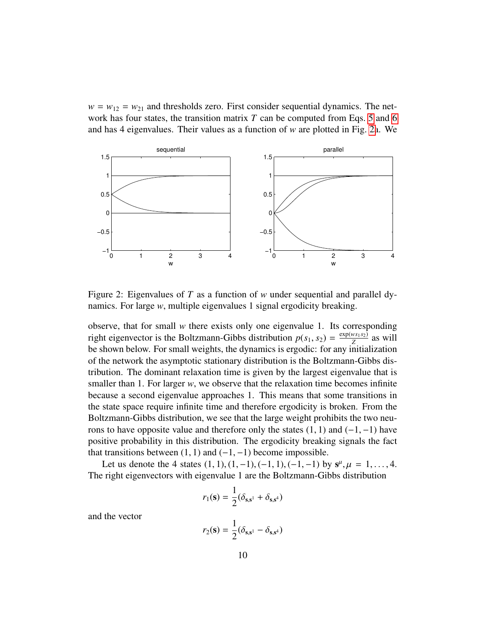$w = w_{12} = w_{21}$  and thresholds zero. First consider sequential dynamics. The network has four states, the transition matrix *T* can be computed from Eqs. [5](#page-5-2) and [6](#page-5-3) and has 4 eigenvalues. Their values as a function of *w* are plotted in Fig. [2a](#page-9-0). We



<span id="page-9-0"></span>Figure 2: Eigenvalues of *T* as a function of *w* under sequential and parallel dynamics. For large *w*, multiple eigenvalues 1 signal ergodicity breaking.

observe, that for small *w* there exists only one eigenvalue 1. Its corresponding right eigenvector is the Boltzmann-Gibbs distribution  $p(s_1, s_2) = \frac{\exp(w s_1 s_2)}{Z}$ <br>be shown below. For small weights, the dynamics is ergodic: for any initial  $\frac{\sqrt{2} \cdot \sqrt{2}}{Z}$  as will be shown below. For small weights, the dynamics is ergodic: for any initialization of the network the asymptotic stationary distribution is the Boltzmann-Gibbs distribution. The dominant relaxation time is given by the largest eigenvalue that is smaller than 1. For larger *w*, we observe that the relaxation time becomes infinite because a second eigenvalue approaches 1. This means that some transitions in the state space require infinite time and therefore ergodicity is broken. From the Boltzmann-Gibbs distribution, we see that the large weight prohibits the two neurons to have opposite value and therefore only the states  $(1, 1)$  and  $(-1, -1)$  have positive probability in this distribution. The ergodicity breaking signals the fact that transitions between  $(1, 1)$  and  $(-1, -1)$  become impossible.

Let us denote the 4 states  $(1, 1), (1, -1), (-1, 1), (-1, -1)$  by  $s^{\mu}, \mu = 1, ..., 4$ . The right eigenvectors with eigenvalue 1 are the Boltzmann-Gibbs distribution

$$
r_1(\mathbf{s}) = \frac{1}{2}(\delta_{\mathbf{s},\mathbf{s}^1} + \delta_{\mathbf{s},\mathbf{s}^4})
$$

and the vector

$$
r_2(\mathbf{s}) = \frac{1}{2}(\delta_{\mathbf{s},\mathbf{s}^1} - \delta_{\mathbf{s},\mathbf{s}^4})
$$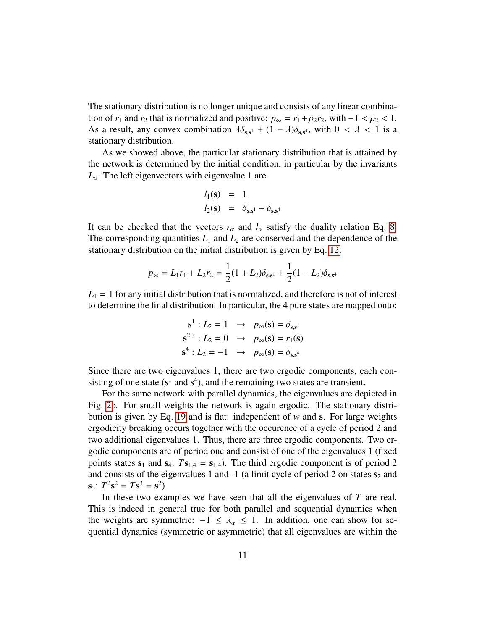The stationary distribution is no longer unique and consists of any linear combination of  $r_1$  and  $r_2$  that is normalized and positive:  $p_\infty = r_1 + \rho_2 r_2$ , with  $-1 < \rho_2 < 1$ . As a result, any convex combination  $\lambda \delta_{s,s^1} + (1 - \lambda) \delta_{s,s^4}$ , with  $0 < \lambda < 1$  is a stationary distribution stationary distribution.

As we showed above, the particular stationary distribution that is attained by the network is determined by the initial condition, in particular by the invariants  $L_{\alpha}$ . The left eigenvectors with eigenvalue 1 are

$$
l_1(\mathbf{s}) = 1
$$
  

$$
l_2(\mathbf{s}) = \delta_{\mathbf{s}, \mathbf{s}^1} - \delta_{\mathbf{s}, \mathbf{s}^4}
$$

It can be checked that the vectors  $r_\alpha$  and  $l_\alpha$  satisfy the duality relation Eq. [8.](#page-6-1) The corresponding quantities  $L_1$  and  $L_2$  are conserved and the dependence of the stationary distribution on the initial distribution is given by Eq. [12:](#page-8-1)

$$
p_{\infty} = L_1 r_1 + L_2 r_2 = \frac{1}{2} (1 + L_2) \delta_{\mathbf{s}, \mathbf{s}^1} + \frac{1}{2} (1 - L_2) \delta_{\mathbf{s}, \mathbf{s}^4}
$$

 $L_1 = 1$  for any initial distribution that is normalized, and therefore is not of interest to determine the final distribution. In particular, the 4 pure states are mapped onto:

$$
\mathbf{s}^{1} : L_{2} = 1 \rightarrow p_{\infty}(\mathbf{s}) = \delta_{\mathbf{s}, \mathbf{s}^{1}}
$$
  

$$
\mathbf{s}^{2,3} : L_{2} = 0 \rightarrow p_{\infty}(\mathbf{s}) = r_{1}(\mathbf{s})
$$
  

$$
\mathbf{s}^{4} : L_{2} = -1 \rightarrow p_{\infty}(\mathbf{s}) = \delta_{\mathbf{s}, \mathbf{s}^{4}}
$$

Since there are two eigenvalues 1, there are two ergodic components, each consisting of one state ( $s^1$  and  $s^4$ ), and the remaining two states are transient.

For the same network with parallel dynamics, the eigenvalues are depicted in Fig. [2b](#page-9-0). For small weights the network is again ergodic. The stationary distribution is given by Eq. [19](#page-15-1) and is flat: independent of *w* and s. For large weights ergodicity breaking occurs together with the occurence of a cycle of period 2 and two additional eigenvalues 1. Thus, there are three ergodic components. Two ergodic components are of period one and consist of one of the eigenvalues 1 (fixed points states  $s_1$  and  $s_4$ :  $Ts_{1,4} = s_{1,4}$ ). The third ergodic component is of period 2 and consists of the eigenvalues 1 and -1 (a limit cycle of period 2 on states  $s_2$  and  $s_3$ :  $T^2 s^2 = Ts^3 = s^2$ ).

In these two examples we have seen that all the eigenvalues of *T* are real. This is indeed in general true for both parallel and sequential dynamics when the weights are symmetric:  $-1 \le \lambda_{\alpha} \le 1$ . In addition, one can show for sequential dynamics (symmetric or asymmetric) that all eigenvalues are within the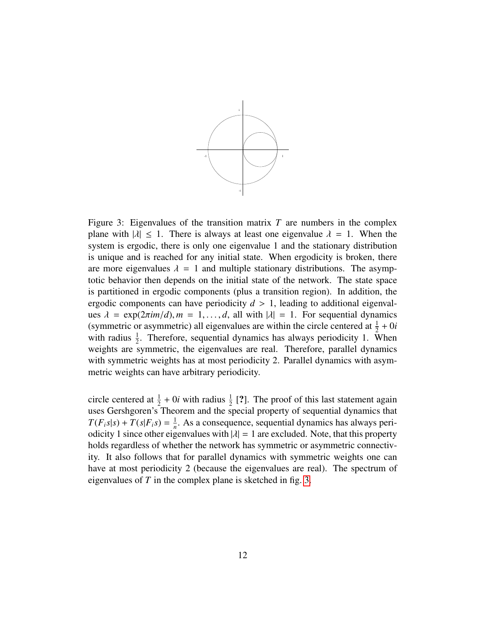

<span id="page-11-0"></span>Figure 3: Eigenvalues of the transition matrix *T* are numbers in the complex plane with  $|\lambda| \leq 1$ . There is always at least one eigenvalue  $\lambda = 1$ . When the system is ergodic, there is only one eigenvalue 1 and the stationary distribution is unique and is reached for any initial state. When ergodicity is broken, there are more eigenvalues  $\lambda = 1$  and multiple stationary distributions. The asymptotic behavior then depends on the initial state of the network. The state space is partitioned in ergodic components (plus a transition region). In addition, the ergodic components can have periodicity  $d > 1$ , leading to additional eigenvalues  $\lambda = \exp(2\pi im/d)$ ,  $m = 1, \ldots, d$ , all with  $|\lambda| = 1$ . For sequential dynamics (symmetric or asymmetric) all eigenvalues are within the circle centered at  $\frac{1}{2} + 0i$ with radius  $\frac{1}{2}$ . Therefore, sequential dynamics has always periodicity 1. When weights are symmetric, the eigenvalues are real. Therefore, parallel dynamics with symmetric weights has at most periodicity 2. Parallel dynamics with asymmetric weights can have arbitrary periodicity.

circle centered at  $\frac{1}{2} + 0i$  with radius  $\frac{1}{2}$  [?]. The proof of this last statement again uses Gershgoren's Theorem and the special property of sequential dynamics that  $T(F_i s | s) + T(s | F_i s) = \frac{1}{n}$  $\frac{1}{n}$ . As a consequence, sequential dynamics has always periodicity 1 since other eigenvalues with  $|\lambda| = 1$  are excluded. Note, that this property holds regardless of whether the network has symmetric or asymmetric connectivity. It also follows that for parallel dynamics with symmetric weights one can have at most periodicity 2 (because the eigenvalues are real). The spectrum of eigenvalues of *T* in the complex plane is sketched in fig. [3.](#page-11-0)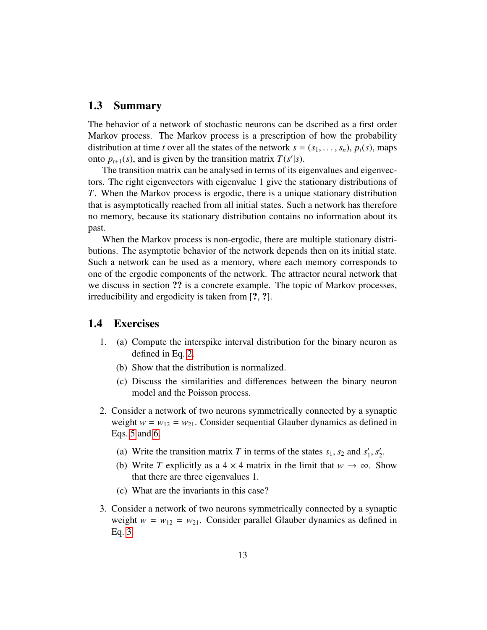## <span id="page-12-0"></span>1.3 Summary

The behavior of a network of stochastic neurons can be dscribed as a first order Markov process. The Markov process is a prescription of how the probability distribution at time *t* over all the states of the network  $s = (s_1, \ldots, s_n)$ ,  $p_t(s)$ , maps onto  $p_{t+1}(s)$ , and is given by the transition matrix  $T(s'|s)$ .

The transition matrix can be analysed in terms of its eigenvalues and eigenvectors. The right eigenvectors with eigenvalue 1 give the stationary distributions of *T*. When the Markov process is ergodic, there is a unique stationary distribution that is asymptotically reached from all initial states. Such a network has therefore no memory, because its stationary distribution contains no information about its past.

When the Markov process is non-ergodic, there are multiple stationary distributions. The asymptotic behavior of the network depends then on its initial state. Such a network can be used as a memory, where each memory corresponds to one of the ergodic components of the network. The attractor neural network that we discuss in section ?? is a concrete example. The topic of Markov processes, irreducibility and ergodicity is taken from [?, ?].

## <span id="page-12-1"></span>1.4 Exercises

- 1. (a) Compute the interspike interval distribution for the binary neuron as defined in Eq. [2.](#page-3-2)
	- (b) Show that the distribution is normalized.
	- (c) Discuss the similarities and differences between the binary neuron model and the Poisson process.
- 2. Consider a network of two neurons symmetrically connected by a synaptic weight  $w = w_{12} = w_{21}$ . Consider sequential Glauber dynamics as defined in Eqs. [5](#page-5-2) and [6.](#page-5-3)
	- (a) Write the transition matrix *T* in terms of the states  $s_1$ ,  $s_2$  and  $s'_1$  $\frac{1}{1}$ ,  $s_2'$  $\frac{1}{2}$ .
	- (b) Write *T* explicitly as a  $4 \times 4$  matrix in the limit that  $w \to \infty$ . Show that there are three eigenvalues 1.
	- (c) What are the invariants in this case?
- 3. Consider a network of two neurons symmetrically connected by a synaptic weight  $w = w_{12} = w_{21}$ . Consider parallel Glauber dynamics as defined in Eq. [3.](#page-4-3)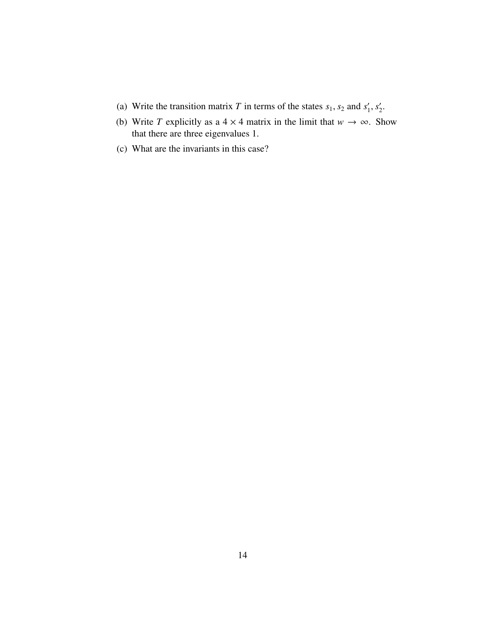- (a) Write the transition matrix *T* in terms of the states  $s_1$ ,  $s_2$  and  $s'_1$  $s'_{1}, s'_{2}$  $\frac{1}{2}$ .
- (b) Write *T* explicitly as a  $4 \times 4$  matrix in the limit that  $w \to \infty$ . Show that there are three eigenvalues 1.
- (c) What are the invariants in this case?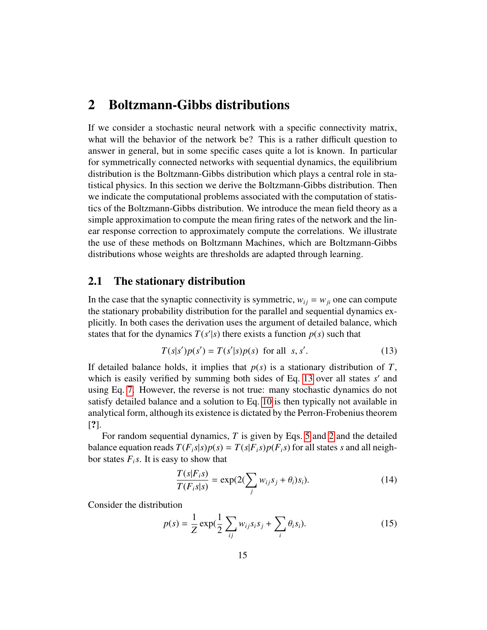## <span id="page-14-0"></span>2 Boltzmann-Gibbs distributions

If we consider a stochastic neural network with a specific connectivity matrix, what will the behavior of the network be? This is a rather difficult question to answer in general, but in some specific cases quite a lot is known. In particular for symmetrically connected networks with sequential dynamics, the equilibrium distribution is the Boltzmann-Gibbs distribution which plays a central role in statistical physics. In this section we derive the Boltzmann-Gibbs distribution. Then we indicate the computational problems associated with the computation of statistics of the Boltzmann-Gibbs distribution. We introduce the mean field theory as a simple approximation to compute the mean firing rates of the network and the linear response correction to approximately compute the correlations. We illustrate the use of these methods on Boltzmann Machines, which are Boltzmann-Gibbs distributions whose weights are thresholds are adapted through learning.

## <span id="page-14-1"></span>2.1 The stationary distribution

In the case that the synaptic connectivity is symmetric,  $w_{ij} = w_{ji}$  one can compute the stationary probability distribution for the parallel and sequential dynamics explicitly. In both cases the derivation uses the argument of detailed balance, which states that for the dynamics  $T(s'|s)$  there exists a function  $p(s)$  such that

<span id="page-14-2"></span>
$$
T(s|s')p(s') = T(s'|s)p(s) \text{ for all } s, s'. \tag{13}
$$

If detailed balance holds, it implies that  $p(s)$  is a stationary distribution of  $T$ , which is easily verified by summing both sides of Eq. [13](#page-14-2) over all states *s'* and using Eq. [7.](#page-5-4) However, the reverse is not true: many stochastic dynamics do not satisfy detailed balance and a solution to Eq. [10](#page-6-3) is then typically not available in analytical form, although its existence is dictated by the Perron-Frobenius theorem [?].

For random sequential dynamics, *T* is given by Eqs. [5](#page-5-2) and [2](#page-3-2) and the detailed balance equation reads  $T(F_i s | s) p(s) = T(s | F_i s) p(F_i s)$  for all states *s* and all neighbor states  $F_i$ *s*. It is easy to show that

<span id="page-14-4"></span>
$$
\frac{T(s|F_i s)}{T(F_i s|s)} = \exp(2(\sum_j w_{ij} s_j + \theta_i) s_i).
$$
\n(14)

Consider the distribution

<span id="page-14-3"></span>
$$
p(s) = \frac{1}{Z} \exp(\frac{1}{2} \sum_{ij} w_{ij} s_i s_j + \sum_i \theta_i s_i).
$$
 (15)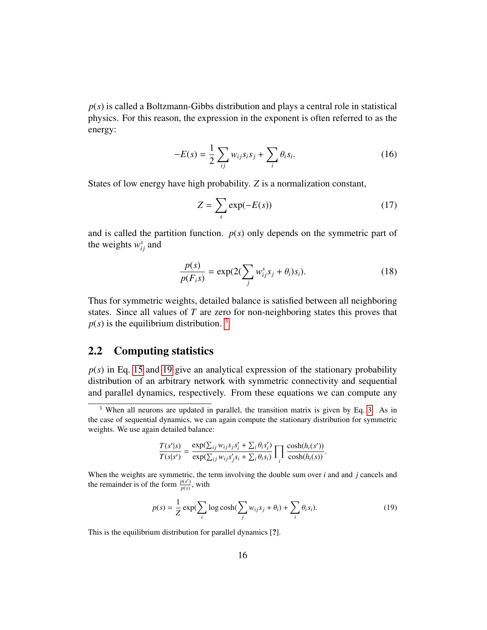*p*(*s*) is called a Boltzmann-Gibbs distribution and plays a central role in statistical physics. For this reason, the expression in the exponent is often referred to as the energy:

$$
-E(s) = \frac{1}{2} \sum_{ij} w_{ij} s_i s_j + \sum_i \theta_i s_i.
$$
 (16)

States of low energy have high probability. *Z* is a normalization constant,

<span id="page-15-3"></span>
$$
Z = \sum_{s} \exp(-E(s))
$$
 (17)

and is called the partition function.  $p(s)$  only depends on the symmetric part of the weights  $w_{ij}^s$  and

$$
\frac{p(s)}{p(F_i s)} = \exp(2(\sum_j w_{ij}^s s_j + \theta_i)s_i).
$$
\n(18)

Thus for symmetric weights, detailed balance is satisfied between all neighboring states. Since all values of *T* are zero for non-neighboring states this proves that  $p(s)$  is the equilibrium distribution. <sup>[3](#page-15-2)</sup>

## <span id="page-15-0"></span>2.2 Computing statistics

 $p(s)$  in Eq. [15](#page-14-3) and [19](#page-15-1) give an analytical expression of the stationary probability distribution of an arbitrary network with symmetric connectivity and sequential and parallel dynamics, respectively. From these equations we can compute any

$$
\frac{T(s'|s)}{T(s|s')} = \frac{\exp(\sum_{ij} w_{ij} s_j s_i' + \sum_i \theta_i s_i')}{\exp(\sum_{ij} w_{ij} s_j' s_i + \sum_i \theta_i s_i)} \prod_i \frac{\cosh(h_i(s'))}{\cosh(h_i(s))}.
$$

<span id="page-15-1"></span>
$$
p(s) = \frac{1}{Z} \exp\left(\sum_{i} \log \cosh\left(\sum_{j} w_{ij} s_j + \theta_i\right) + \sum_{i} \theta_i s_i\right).
$$
 (19)

This is the equilibrium distribution for parallel dynamics [?].

<span id="page-15-2"></span><sup>&</sup>lt;sup>3</sup> When all neurons are updated in parallel, the transition matrix is given by Eq. [3.](#page-4-3) As in the case of sequential dynamics, we can again compute the stationary distribution for symmetric weights. We use again detailed balance:

When the weights are symmetric, the term involving the double sum over *i* and and *j* cancels and the remainder is of the form  $\frac{p(s')}{p(s)}$  $\frac{p(s)}{p(s)}$ , with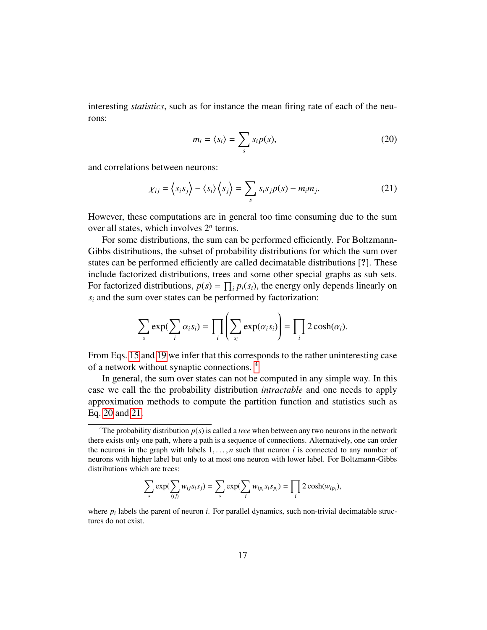interesting *statistics*, such as for instance the mean firing rate of each of the neurons:

<span id="page-16-1"></span>
$$
m_i = \langle s_i \rangle = \sum_s s_i p(s), \tag{20}
$$

and correlations between neurons:

<span id="page-16-2"></span>
$$
\chi_{ij} = \langle s_i s_j \rangle - \langle s_i \rangle \langle s_j \rangle = \sum_s s_i s_j p(s) - m_i m_j. \tag{21}
$$

However, these computations are in general too time consuming due to the sum over all states, which involves 2*<sup>n</sup>* terms.

For some distributions, the sum can be performed efficiently. For Boltzmann-Gibbs distributions, the subset of probability distributions for which the sum over states can be performed efficiently are called decimatable distributions [?]. These include factorized distributions, trees and some other special graphs as sub sets. For factorized distributions,  $p(s) = \prod_i p_i(s_i)$ , the energy only depends linearly on  $s_i$  and the sum over states can be performed by factorization:

$$
\sum_{s} \exp(\sum_{i} \alpha_{i} s_{i}) = \prod_{i} \left(\sum_{s_{i}} \exp(\alpha_{i} s_{i})\right) = \prod_{i} 2 \cosh(\alpha_{i}).
$$

From Eqs. [15](#page-14-3) and [19](#page-15-1) we infer that this corresponds to the rather uninteresting case of a network without synaptic connections. [4](#page-16-0)

In general, the sum over states can not be computed in any simple way. In this case we call the the probability distribution *intractable* and one needs to apply approximation methods to compute the partition function and statistics such as Eq. [20](#page-16-1) and [21.](#page-16-2)

$$
\sum_{s} \exp(\sum_{(ij)} w_{ij} s_i s_j) = \sum_{s} \exp(\sum_{i} w_{ip_i} s_i s_{p_i}) = \prod_{i} 2 \cosh(w_{ip_i}),
$$

<span id="page-16-0"></span><sup>&</sup>lt;sup>4</sup>The probability distribution  $p(s)$  is called a *tree* when between any two neurons in the network there exists only one path, where a path is a sequence of connections. Alternatively, one can order the neurons in the graph with labels  $1, \ldots, n$  such that neuron *i* is connected to any number of neurons with higher label but only to at most one neuron with lower label. For Boltzmann-Gibbs distributions which are trees:

where  $p_i$  labels the parent of neuron *i*. For parallel dynamics, such non-trivial decimatable structures do not exist.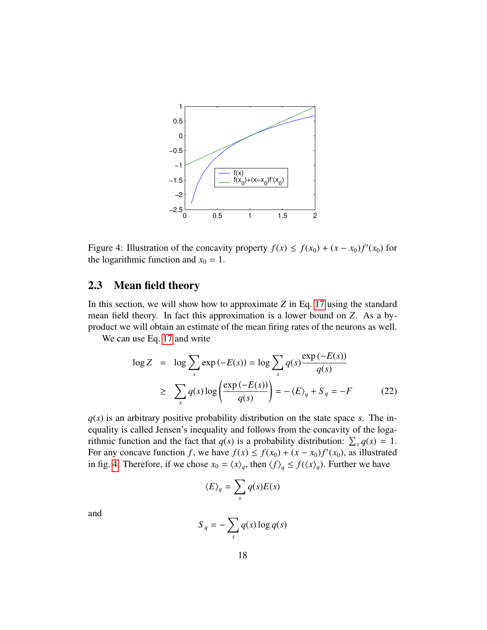

<span id="page-17-1"></span>Figure 4: Illustration of the concavity property  $f(x) \le f(x_0) + (x - x_0)f'(x_0)$  for the logarithmic function and  $x_0 = 1$ .

## <span id="page-17-0"></span>2.3 Mean field theory

In this section, we will show how to approximate *Z* in Eq. [17](#page-15-3) using the standard mean field theory. In fact this approximation is a lower bound on *Z*. As a byproduct we will obtain an estimate of the mean firing rates of the neurons as well.

We can use Eq. [17](#page-15-3) and write

<span id="page-17-2"></span>
$$
\log Z = \log \sum_{s} \exp(-E(s)) = \log \sum_{s} q(s) \frac{\exp(-E(s))}{q(s)}
$$
  
 
$$
\geq \sum_{s} q(s) \log \left( \frac{\exp(-E(s))}{q(s)} \right) = -\langle E \rangle_{q} + S_{q} = -F
$$
 (22)

*q*(*s*) is an arbitrary positive probability distribution on the state space *s*. The inequality is called Jensen's inequality and follows from the concavity of the logarithmic function and the fact that  $q(s)$  is a probability distribution:  $\sum_s q(s) = 1$ . For any concave function *f*, we have  $f(x) \le f(x_0) + (x - x_0)f'(x_0)$ , as illustrated in fig. [4.](#page-17-1) Therefore, if we chose  $x_0 = \langle x \rangle_q$ , then  $\langle f \rangle_q \le f(\langle x \rangle_q)$ . Further we have

$$
\langle E \rangle_q = \sum_s q(s)E(s)
$$

and

$$
S_q = -\sum_s q(s) \log q(s)
$$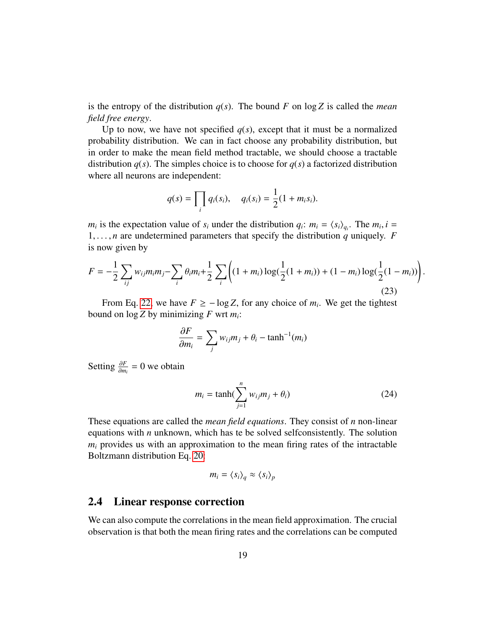is the entropy of the distribution  $q(s)$ . The bound F on log Z is called the *mean field free energy*.

Up to now, we have not specified  $q(s)$ , except that it must be a normalized probability distribution. We can in fact choose any probability distribution, but in order to make the mean field method tractable, we should choose a tractable distribution  $q(s)$ . The simples choice is to choose for  $q(s)$  a factorized distribution where all neurons are independent:

$$
q(s) = \prod_i q_i(s_i), \quad q_i(s_i) = \frac{1}{2}(1 + m_i s_i).
$$

 $m_i$  is the expectation value of  $s_i$  under the distribution  $q_i$ :  $m_i = \langle s_i \rangle_{q_i}$ . The  $m_i$ ,  $i =$ <br>
1 *n* are undetermined parameters that specify the distribution *a* uniquely. *F* 1, ..., *n* are undetermined parameters that specify the distribution *q* uniquely. *F* is now given by

<span id="page-18-2"></span>
$$
F = -\frac{1}{2} \sum_{ij} w_{ij} m_i m_j - \sum_i \theta_i m_i + \frac{1}{2} \sum_i \left( (1 + m_i) \log(\frac{1}{2}(1 + m_i)) + (1 - m_i) \log(\frac{1}{2}(1 - m_i)) \right)
$$
(23)

From Eq. [22,](#page-17-2) we have  $F \ge -\log Z$ , for any choice of  $m_i$ . We get the tightest bound on log *Z* by minimizing *F* wrt *m<sup>i</sup>* :

$$
\frac{\partial F}{\partial m_i} = \sum_j w_{ij} m_j + \theta_i - \tanh^{-1}(m_i)
$$

Setting <sup>∂</sup>*<sup>F</sup>*  $\frac{\partial F}{\partial m_i} = 0$  we obtain

<span id="page-18-1"></span>
$$
m_i = \tanh(\sum_{j=1}^n w_{ij} m_j + \theta_i)
$$
 (24)

These equations are called the *mean field equations*. They consist of *n* non-linear equations with *n* unknown, which has te be solved selfconsistently. The solution *m<sup>i</sup>* provides us with an approximation to the mean firing rates of the intractable Boltzmann distribution Eq. [20:](#page-16-1)

$$
m_i = \langle s_i \rangle_q \approx \langle s_i \rangle_p
$$

### <span id="page-18-0"></span>2.4 Linear response correction

We can also compute the correlations in the mean field approximation. The crucial observation is that both the mean firing rates and the correlations can be computed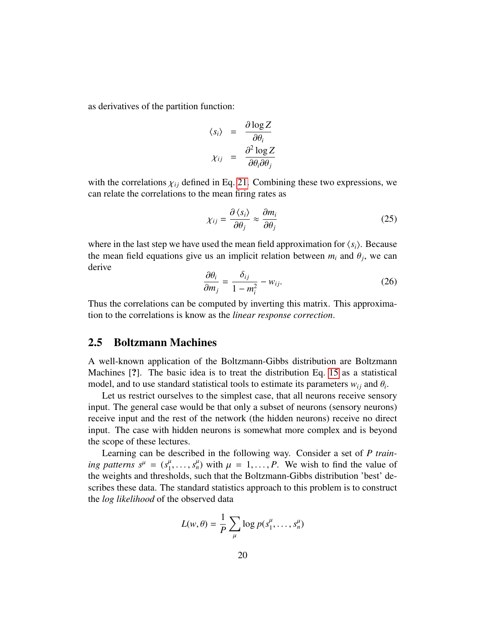as derivatives of the partition function:

$$
\langle s_i \rangle = \frac{\partial \log Z}{\partial \theta_i}
$$

$$
\chi_{ij} = \frac{\partial^2 \log Z}{\partial \theta_i \partial \theta_j}
$$

with the correlations  $\chi_{ij}$  defined in Eq. [21.](#page-16-2) Combining these two expressions, we can relate the correlations to the mean firing rates as

<span id="page-19-1"></span>
$$
\chi_{ij} = \frac{\partial \langle s_i \rangle}{\partial \theta_j} \approx \frac{\partial m_i}{\partial \theta_j} \tag{25}
$$

where in the last step we have used the mean field approximation for  $\langle s_i \rangle$ . Because the mean field equations give us an implicit relation between  $m_i$  and  $\theta_j$ , we can<br>derive derive

<span id="page-19-2"></span>
$$
\frac{\partial \theta_i}{\partial m_j} = \frac{\delta_{ij}}{1 - m_i^2} - w_{ij}.
$$
 (26)

Thus the correlations can be computed by inverting this matrix. This approximation to the correlations is know as the *linear response correction*.

## <span id="page-19-0"></span>2.5 Boltzmann Machines

A well-known application of the Boltzmann-Gibbs distribution are Boltzmann Machines [?]. The basic idea is to treat the distribution Eq. [15](#page-14-3) as a statistical model, and to use standard statistical tools to estimate its parameters  $w_{ij}$  and  $\theta_i$ .<br>Let us restrict ourselves to the simplest case, that all neurons receive senso

Let us restrict ourselves to the simplest case, that all neurons receive sensory input. The general case would be that only a subset of neurons (sensory neurons) receive input and the rest of the network (the hidden neurons) receive no direct input. The case with hidden neurons is somewhat more complex and is beyond the scope of these lectures.

Learning can be described in the following way. Consider a set of *P training patterns*  $s^{\mu} = (s^{\mu}_1, \ldots, s^{\mu}_n)$  *with*  $\mu = 1, \ldots, P$ *. We wish to find the value of the weights and thresholds, such that the Boltzmann-Gibbs distribution 'best' de*the weights and thresholds, such that the Boltzmann-Gibbs distribution 'best' describes these data. The standard statistics approach to this problem is to construct the *log likelihood* of the observed data

$$
L(w, \theta) = \frac{1}{P} \sum_{\mu} \log p(s_1^{\mu}, \dots, s_n^{\mu})
$$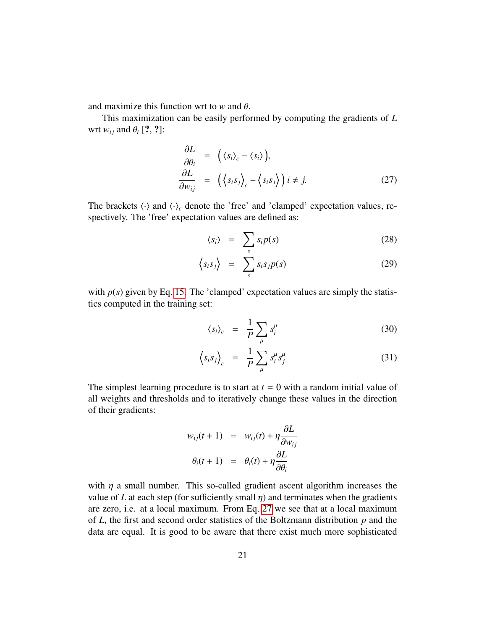and maximize this function wrt to *<sup>w</sup>* and θ.

This maximization can be easily performed by computing the gradients of *L* wrt  $w_{ij}$  and  $\theta_i$  [?, ?]:

<span id="page-20-0"></span>
$$
\frac{\partial L}{\partial \theta_i} = (\langle s_i \rangle_c - \langle s_i \rangle), \n\frac{\partial L}{\partial w_{ij}} = (\langle s_i s_j \rangle_c - \langle s_i s_j \rangle) i \neq j.
$$
\n(27)

The brackets  $\langle \cdot \rangle$  and  $\langle \cdot \rangle_c$  denote the 'free' and 'clamped' expectation values, respectively. The 'free' expectation values are defined as:

<span id="page-20-1"></span>
$$
\langle s_i \rangle = \sum_s s_i p(s) \tag{28}
$$

$$
\langle s_i s_j \rangle = \sum_s s_i s_j p(s) \tag{29}
$$

with  $p(s)$  given by Eq. [15.](#page-14-3) The 'clamped' expectation values are simply the statistics computed in the training set:

$$
\langle s_i \rangle_c = \frac{1}{P} \sum_{\mu} s_i^{\mu} \tag{30}
$$

$$
\left\langle s_i s_j \right\rangle_c = \frac{1}{P} \sum_{\mu} s_i^{\mu} s_j^{\mu} \tag{31}
$$

The simplest learning procedure is to start at  $t = 0$  with a random initial value of all weights and thresholds and to iteratively change these values in the direction of their gradients:

$$
w_{ij}(t+1) = w_{ij}(t) + \eta \frac{\partial L}{\partial w_{ij}}
$$

$$
\theta_i(t+1) = \theta_i(t) + \eta \frac{\partial L}{\partial \theta_i}
$$

with  $\eta$  a small number. This so-called gradient ascent algorithm increases the value of *L* at each step (for sufficiently small  $\eta$ ) and terminates when the gradients are zero, i.e. at a local maximum. From Eq. [27](#page-20-0) we see that at a local maximum of *L*, the first and second order statistics of the Boltzmann distribution *p* and the data are equal. It is good to be aware that there exist much more sophisticated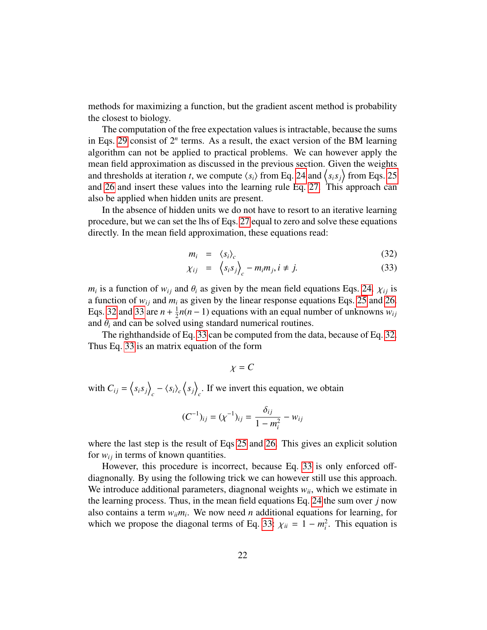methods for maximizing a function, but the gradient ascent method is probability the closest to biology.

The computation of the free expectation values is intractable, because the sums in Eqs. [29](#page-20-1) consist of  $2^n$  terms. As a result, the exact version of the BM learning algorithm can not be applied to practical problems. We can however apply the mean field approximation as discussed in the previous section. Given the weights and thresholds at iteration *t*, we compute  $\langle s_i \rangle$  from Eq. [24](#page-18-1) and  $\langle s_i s_j \rangle$  from Eqs. [25](#page-19-1) and [26](#page-19-2) and insert these values into the learning rule Eq. [27.](#page-20-0) This approach can also be applied when hidden units are present.

In the absence of hidden units we do not have to resort to an iterative learning procedure, but we can set the lhs of Eqs. [27](#page-20-0) equal to zero and solve these equations directly. In the mean field approximation, these equations read:

<span id="page-21-0"></span>
$$
m_i = \langle s_i \rangle_c \tag{32}
$$

$$
\chi_{ij} = \left\langle s_i s_j \right\rangle_c - m_i m_j, i \neq j. \tag{33}
$$

*m<sub>i</sub>* is a function of  $w_{ij}$  and  $\theta_i$  as given by the mean field equations Eqs. [24.](#page-18-1)  $\chi_{ij}$  is a function of  $w_{ij}$  and  $m_i$  as given by the linear response equations Eqs. 25 and 26. a function of  $w_{ij}$  and  $m_i$  as given by the linear response equations Eqs. [25](#page-19-1) and [26.](#page-19-2) Eqs. [32](#page-21-0) and [33](#page-21-0) are  $n + \frac{1}{2}$  $\frac{1}{2}n(n-1)$  equations with an equal number of unknowns  $w_{ij}$ and  $\theta_i$  and can be solved using standard numerical routines.

The righthandside of Eq. [33](#page-21-0) can be computed from the data, because of Eq. [32.](#page-21-0) Thus Eq. [33](#page-21-0) is an matrix equation of the form

$$
\chi = C
$$

with  $C_{ij} = \langle s_i s_j \rangle$  $\langle s_i \rangle_c \langle s_j \rangle$  $\int_{c}$ . If we invert this equation, we obtain

$$
(C^{-1})_{ij} = (\chi^{-1})_{ij} = \frac{\delta_{ij}}{1 - m_i^2} - w_{ij}
$$

where the last step is the result of Eqs [25](#page-19-1) and [26.](#page-19-2) This gives an explicit solution for  $w_{ij}$  in terms of known quantities.

However, this procedure is incorrect, because Eq. [33](#page-21-0) is only enforced offdiagnonally. By using the following trick we can however still use this approach. We introduce additional parameters, diagnonal weights  $w_{ii}$ , which we estimate in the learning process. Thus, in the mean field equations Eq. [24](#page-18-1) the sum over *j* now also contains a term  $w_{ii}m_i$ . We now need *n* additional equations for learning, for which we propose the diagonal terms of Eq. [33:](#page-21-0)  $\chi_{ii} = 1 - m_i^2$ . This equation is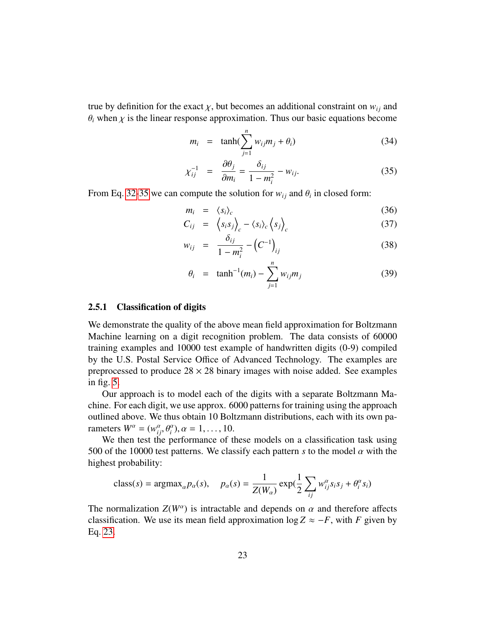true by definition for the exact  $\chi$ , but becomes an additional constraint on  $w_{ij}$  and  $\theta_i$  when  $\chi$  is the linear response approximation. Thus our basic equations become

<span id="page-22-1"></span>
$$
m_i = \tanh(\sum_{j=1}^n w_{ij} m_j + \theta_i) \tag{34}
$$

$$
\chi_{ij}^{-1} = \frac{\partial \theta_j}{\partial m_i} = \frac{\delta_{ij}}{1 - m_i^2} - w_{ij}.
$$
 (35)

From Eq. [32-](#page-21-0)[35](#page-22-1) we can compute the solution for  $w_{ij}$  and  $\theta_i$  in closed form:

$$
m_i = \langle s_i \rangle_c \tag{36}
$$

$$
C_{ij} = \left\langle s_i s_j \right\rangle_c - \left\langle s_i \right\rangle_c \left\langle s_j \right\rangle_c \tag{37}
$$

$$
w_{ij} = \frac{\partial_{ij}}{1 - m_i^2} - \left(C^{-1}\right)_{ij} \tag{38}
$$

$$
\theta_i = \tanh^{-1}(m_i) - \sum_{j=1}^n w_{ij} m_j \tag{39}
$$

#### <span id="page-22-0"></span>2.5.1 Classification of digits

We demonstrate the quality of the above mean field approximation for Boltzmann Machine learning on a digit recognition problem. The data consists of 60000 training examples and 10000 test example of handwritten digits (0-9) compiled by the U.S. Postal Service Office of Advanced Technology. The examples are preprocessed to produce  $28 \times 28$  binary images with noise added. See examples in fig. [5.](#page-23-0)

Our approach is to model each of the digits with a separate Boltzmann Machine. For each digit, we use approx. 6000 patterns for training using the approach outlined above. We thus obtain 10 Boltzmann distributions, each with its own parameters  $W^{\alpha} = (w_{ij}^{\alpha}, \theta_i^{\alpha}), \alpha = 1, ..., 10.$ <br>We then test the performance of the

*i* i given  $w = (w_{ij}^2, \theta_i^2), \alpha = 1, ..., 10$ .<br>We then test the performance of these models on a classification task using 500 of the 10000 test patterns. We classify each pattern *s* to the model  $\alpha$  with the highest probability:

class(s) = 
$$
\arg\max_{\alpha} p_{\alpha}(s)
$$
,  $p_{\alpha}(s) = \frac{1}{Z(W_{\alpha})} \exp(\frac{1}{2} \sum_{i,j} w_{ij}^{\alpha} s_i s_j + \theta_i^{\alpha} s_i)$ 

The normalization  $Z(W^{\alpha})$  is intractable and depends on  $\alpha$  and therefore affects classification. We use its mean field approximation  $\log Z \approx -E$  with E given by classification. We use its mean field approximation  $\log Z \approx -F$ , with *F* given by Eq. [23.](#page-18-2)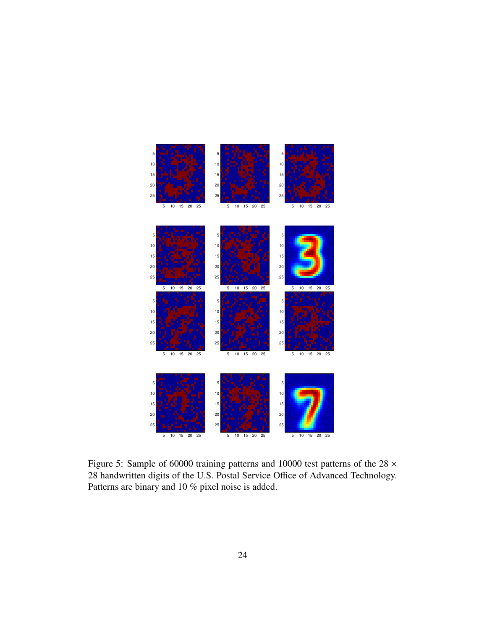

<span id="page-23-0"></span>Figure 5: Sample of 60000 training patterns and 10000 test patterns of the  $28 \times$ 28 handwritten digits of the U.S. Postal Service Office of Advanced Technology. Patterns are binary and 10 % pixel noise is added.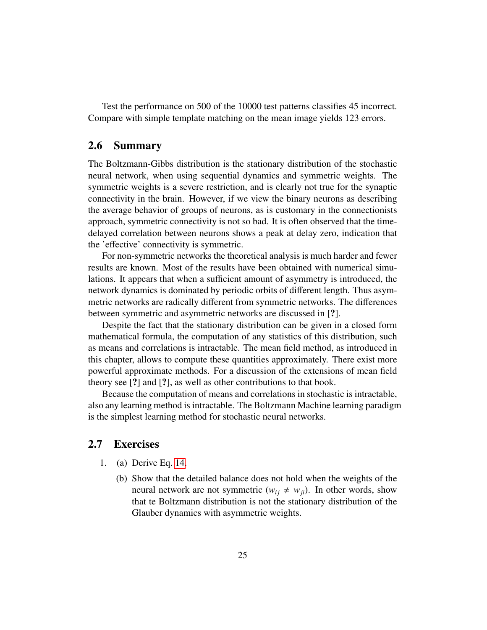Test the performance on 500 of the 10000 test patterns classifies 45 incorrect. Compare with simple template matching on the mean image yields 123 errors.

## <span id="page-24-0"></span>2.6 Summary

The Boltzmann-Gibbs distribution is the stationary distribution of the stochastic neural network, when using sequential dynamics and symmetric weights. The symmetric weights is a severe restriction, and is clearly not true for the synaptic connectivity in the brain. However, if we view the binary neurons as describing the average behavior of groups of neurons, as is customary in the connectionists approach, symmetric connectivity is not so bad. It is often observed that the timedelayed correlation between neurons shows a peak at delay zero, indication that the 'effective' connectivity is symmetric.

For non-symmetric networks the theoretical analysis is much harder and fewer results are known. Most of the results have been obtained with numerical simulations. It appears that when a sufficient amount of asymmetry is introduced, the network dynamics is dominated by periodic orbits of different length. Thus asymmetric networks are radically different from symmetric networks. The differences between symmetric and asymmetric networks are discussed in [?].

Despite the fact that the stationary distribution can be given in a closed form mathematical formula, the computation of any statistics of this distribution, such as means and correlations is intractable. The mean field method, as introduced in this chapter, allows to compute these quantities approximately. There exist more powerful approximate methods. For a discussion of the extensions of mean field theory see [?] and [?], as well as other contributions to that book.

Because the computation of means and correlations in stochastic is intractable, also any learning method is intractable. The Boltzmann Machine learning paradigm is the simplest learning method for stochastic neural networks.

## <span id="page-24-1"></span>2.7 Exercises

- 1. (a) Derive Eq. [14.](#page-14-4)
	- (b) Show that the detailed balance does not hold when the weights of the neural network are not symmetric  $(w_{ij} \neq w_{ji})$ . In other words, show that te Boltzmann distribution is not the stationary distribution of the Glauber dynamics with asymmetric weights.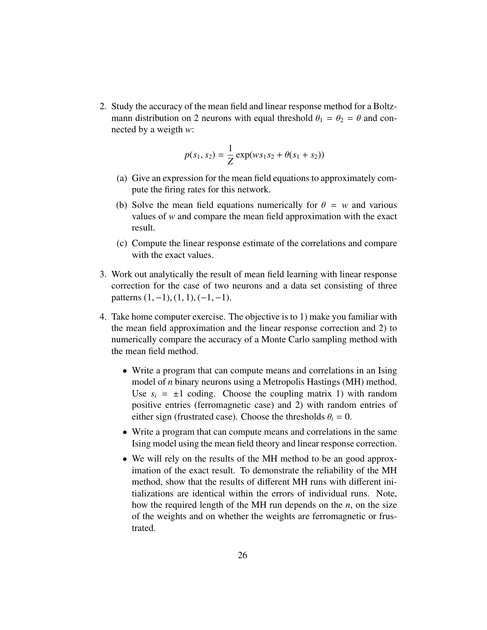2. Study the accuracy of the mean field and linear response method for a Boltzmann distribution on 2 neurons with equal threshold  $\theta_1 = \theta_2 = \theta$  and connected by a weigth *w*:

$$
p(s_1, s_2) = \frac{1}{Z} \exp(ws_1s_2 + \theta(s_1 + s_2))
$$

- (a) Give an expression for the mean field equations to approximately compute the firing rates for this network.
- (b) Solve the mean field equations numerically for  $\theta = w$  and various values of *w* and compare the mean field approximation with the exact result.
- (c) Compute the linear response estimate of the correlations and compare with the exact values.
- 3. Work out analytically the result of mean field learning with linear response correction for the case of two neurons and a data set consisting of three patterns  $(1, -1)$ ,  $(1, 1)$ ,  $(-1, -1)$ .
- 4. Take home computer exercise. The objective is to 1) make you familiar with the mean field approximation and the linear response correction and 2) to numerically compare the accuracy of a Monte Carlo sampling method with the mean field method.
	- Write a program that can compute means and correlations in an Ising model of *n* binary neurons using a Metropolis Hastings (MH) method. Use  $s_i = \pm 1$  coding. Choose the coupling matrix 1) with random positive entries (ferromagnetic case) and 2) with random entries of either sign (frustrated case). Choose the thresholds  $\theta_i = 0$ .
	- Write a program that can compute means and correlations in the same Ising model using the mean field theory and linear response correction.
	- We will rely on the results of the MH method to be an good approximation of the exact result. To demonstrate the reliability of the MH method, show that the results of different MH runs with different initializations are identical within the errors of individual runs. Note, how the required length of the MH run depends on the *n*, on the size of the weights and on whether the weights are ferromagnetic or frustrated.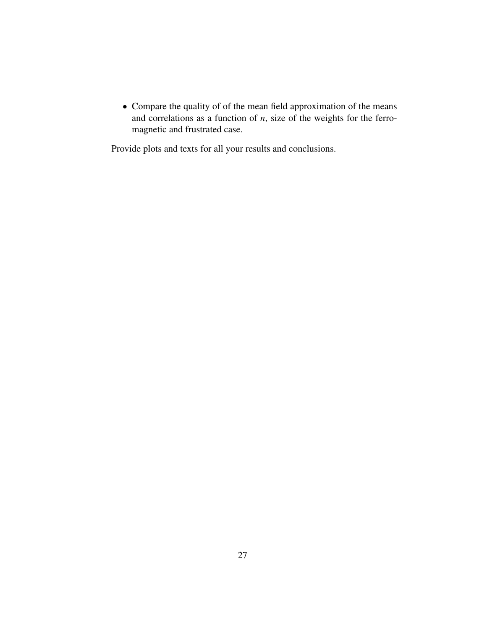• Compare the quality of of the mean field approximation of the means and correlations as a function of *n*, size of the weights for the ferromagnetic and frustrated case.

Provide plots and texts for all your results and conclusions.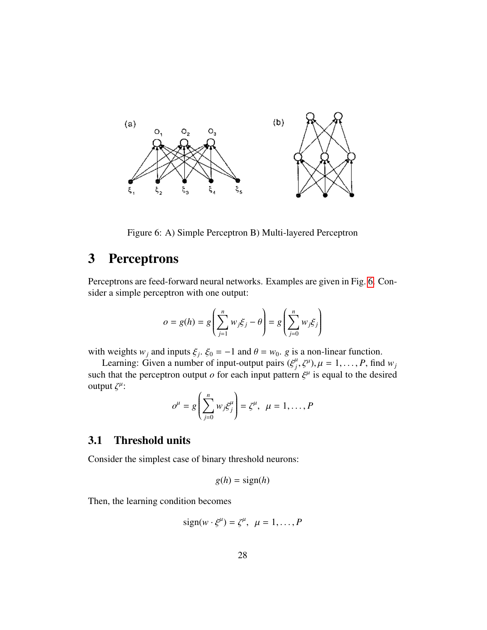

Figure 6: A) Simple Perceptron B) Multi-layered Perceptron

## <span id="page-27-2"></span><span id="page-27-0"></span>3 Perceptrons

Perceptrons are feed-forward neural networks. Examples are given in Fig. [6.](#page-27-2) Consider a simple perceptron with one output:

$$
o = g(h) = g\left(\sum_{j=1}^{n} w_j \xi_j - \theta\right) = g\left(\sum_{j=0}^{n} w_j \xi_j\right)
$$

with weights  $w_j$  and inputs  $\xi_j$ .  $\xi_0 = -1$  and  $\theta = w_0$ . *g* is a non-linear function.<br>Learning: Given a number of input-output pairs  $(\xi^\mu, \xi^\mu)$ ,  $\mu = 1$ . *P* find

Learning: Given a number of input-output pairs  $({\xi}^{\mu}, {\zeta}^{\mu}), \mu = 1, \dots, P$ , find  $w_j$ <br>h that the perceptron output *o* for each input pattern  ${\xi}^{\mu}$  is equal to the desired such that the perceptron output *o* for each input pattern  $\xi^{\mu}$  is equal to the desired<br>output  $\zeta^{\mu}$ . output  $\zeta^{\mu}$ :

$$
o^{\mu} = g\left(\sum_{j=0}^{n} w_j \xi_j^{\mu}\right) = \zeta^{\mu}, \ \mu = 1, \dots, P
$$

## <span id="page-27-1"></span>3.1 Threshold units

Consider the simplest case of binary threshold neurons:

$$
g(h) = sign(h)
$$

Then, the learning condition becomes

$$
sign(w \cdot \xi^{\mu}) = \zeta^{\mu}, \ \mu = 1, \dots, P
$$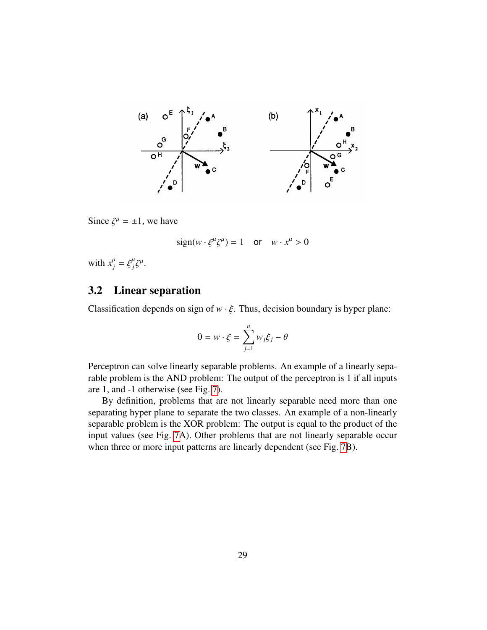

Since  $\zeta^{\mu} = \pm 1$ , we have

$$
sign(w \cdot \xi^{\mu} \zeta^{\mu}) = 1 \quad \text{or} \quad w \cdot x^{\mu} > 0
$$

with  $x_j^{\mu} = \xi_j^{\mu} \xi^{\mu}$ .

## <span id="page-28-0"></span>3.2 Linear separation

Classification depends on sign of  $w \cdot \xi$ . Thus, decision boundary is hyper plane:

$$
0 = w \cdot \xi = \sum_{j=1}^{n} w_j \xi_j - \theta
$$

Perceptron can solve linearly separable problems. An example of a linearly separable problem is the AND problem: The output of the perceptron is 1 if all inputs are 1, and -1 otherwise (see Fig. [7\)](#page-29-1).

By definition, problems that are not linearly separable need more than one separating hyper plane to separate the two classes. An example of a non-linearly separable problem is the XOR problem: The output is equal to the product of the input values (see Fig. [7A](#page-29-1)). Other problems that are not linearly separable occur when three or more input patterns are linearly dependent (see Fig. [7B](#page-29-1)).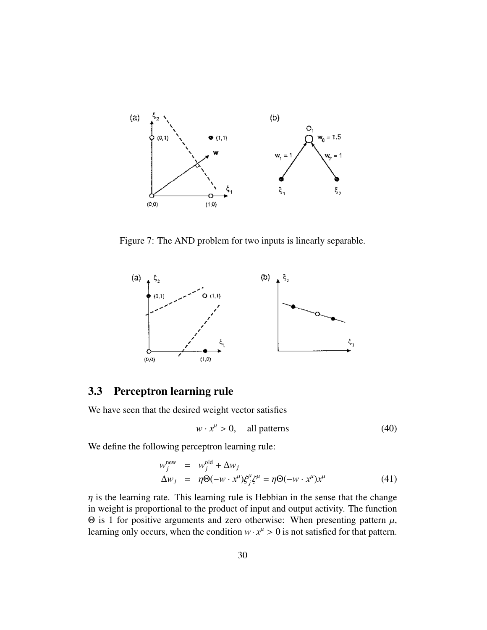

<span id="page-29-1"></span>Figure 7: The AND problem for two inputs is linearly separable.



## <span id="page-29-0"></span>3.3 Perceptron learning rule

We have seen that the desired weight vector satisfies

<span id="page-29-3"></span>
$$
w \cdot x^{\mu} > 0, \quad \text{all patterns} \tag{40}
$$

We define the following perceptron learning rule:

<span id="page-29-2"></span>
$$
w_j^{\text{new}} = w_j^{\text{old}} + \Delta w_j
$$
  
\n
$$
\Delta w_j = \eta \Theta(-w \cdot x^{\mu}) \xi_j^{\mu} \xi^{\mu} = \eta \Theta(-w \cdot x^{\mu}) x^{\mu}
$$
 (41)

 $\eta$  is the learning rate. This learning rule is Hebbian in the sense that the change in weight is proportional to the product of input and output activity. The function  $Θ$  is 1 for positive arguments and zero otherwise: When presenting pattern  $\mu$ , learning only occurs, when the condition  $w \cdot x^{\mu} > 0$  is not satisfied for that pattern.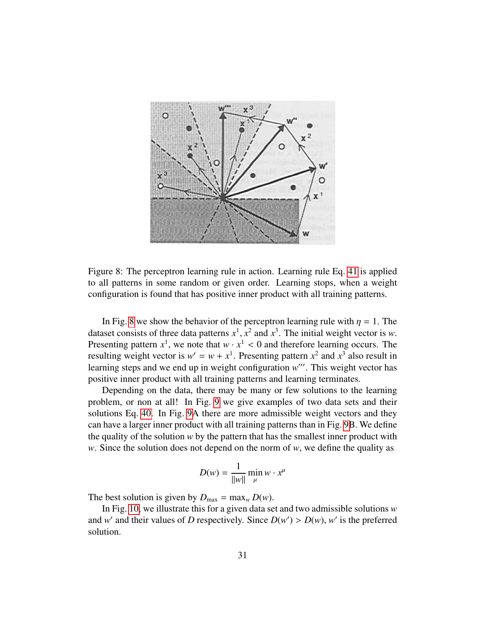

<span id="page-30-0"></span>Figure 8: The perceptron learning rule in action. Learning rule Eq. [41](#page-29-2) is applied to all patterns in some random or given order. Learning stops, when a weight configuration is found that has positive inner product with all training patterns.

In Fig. [8](#page-30-0) we show the behavior of the perceptron learning rule with  $\eta = 1$ . The dataset consists of three data patterns  $x^1$ ,  $x^2$  and  $x^3$ . The initial weight vector is *w*.<br>Presenting pattern  $x^1$ , we note that  $w$ ,  $x^1 < 0$  and therefore learning occurs. The Presenting pattern  $x^1$ , we note that  $w \cdot x^1 < 0$  and therefore learning occurs. The resulting weight vector is  $w' = w + x^1$ . Presenting pattern  $x^2$  and  $x^3$  also result in resulting weight vector is  $w' = w + x^1$ . Presenting pattern  $x^2$  and  $x^3$  also result in learning steps and we end up in weight configuration w'''. This weight vector has positive inner product with all training patterns and learning terminates.

Depending on the data, there may be many or few solutions to the learning problem, or non at all! In Fig. [9](#page-31-0) we give examples of two data sets and their solutions Eq. [40.](#page-29-3) In Fig. [9A](#page-31-0) there are more admissible weight vectors and they can have a larger inner product with all training patterns than in Fig. [9B](#page-31-0). We define the quality of the solution *w* by the pattern that has the smallest inner product with *w*. Since the solution does not depend on the norm of *w*, we define the quality as

$$
D(w) = \frac{1}{\|w\|} \min_{\mu} w \cdot x^{\mu}
$$

The best solution is given by  $D_{\text{max}} = \max_{w} D(w)$ .

In Fig. [10,](#page-31-1) we illustrate this for a given data set and two admissible solutions *w* and *w*' and their values of *D* respectively. Since  $D(w') > D(w)$ , *w*' is the preferred solution solution.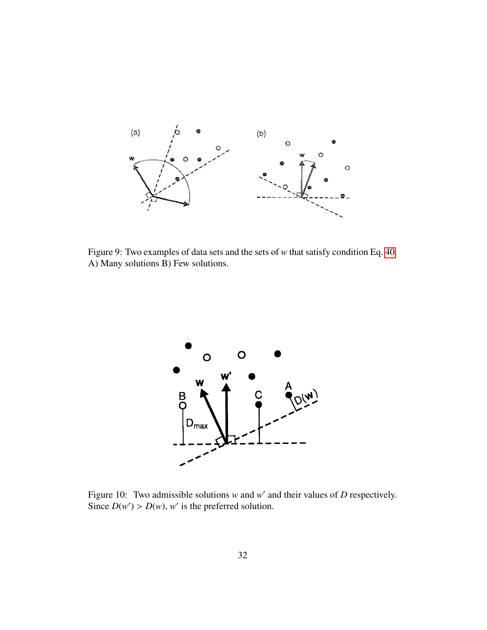

<span id="page-31-0"></span>Figure 9: Two examples of data sets and the sets of *w* that satisfy condition Eq. [40.](#page-29-3) A) Many solutions B) Few solutions.



<span id="page-31-1"></span>Figure 10: Two admissible solutions  $w$  and  $w'$  and their values of  $D$  respectively. Since  $D(w') > D(w)$ , w' is the preferred solution.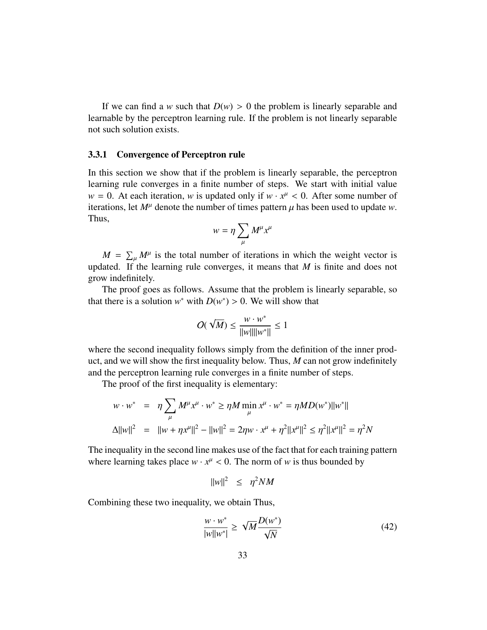If we can find a *w* such that  $D(w) > 0$  the problem is linearly separable and learnable by the perceptron learning rule. If the problem is not linearly separable not such solution exists.

#### <span id="page-32-0"></span>3.3.1 Convergence of Perceptron rule

In this section we show that if the problem is linearly separable, the perceptron learning rule converges in a finite number of steps. We start with initial value  $w = 0$ . At each iteration, *w* is updated only if  $w \cdot x^{\mu} < 0$ . After some number of iterations, let  $M^{\mu}$  denote the number of times pattern *u* has been used to update *w*. iterations, let  $M^{\mu}$  denote the number of times pattern  $\mu$  has been used to update *w*. Thus,

$$
w=\eta\sum_\mu M^\mu x^\mu
$$

 $M = \sum_{\mu} M^{\mu}$  is the total number of iterations in which the weight vector is updated. If the learning rule converges, it means that *M* is finite and does not grow indefinitely.

The proof goes as follows. Assume that the problem is linearly separable, so that there is a solution  $w^*$  with  $D(w^*) > 0$ . We will show that

$$
O(\sqrt{M}) \le \frac{w \cdot w^*}{\|w\| \|w^*\|} \le 1
$$

where the second inequality follows simply from the definition of the inner product, and we will show the first inequality below. Thus, *M* can not grow indefinitely and the perceptron learning rule converges in a finite number of steps.

The proof of the first inequality is elementary:

$$
w \cdot w^* = \eta \sum_{\mu} M^{\mu} x^{\mu} \cdot w^* \ge \eta M \min_{\mu} x^{\mu} \cdot w^* = \eta M D(w^*) ||w^*||
$$
  

$$
\Delta ||w||^2 = ||w + \eta x^{\mu}||^2 - ||w||^2 = 2\eta w \cdot x^{\mu} + \eta^2 ||x^{\mu}||^2 \le \eta^2 ||x^{\mu}||^2 = \eta^2 N
$$

The inequality in the second line makes use of the fact that for each training pattern where learning takes place  $w \cdot x^{\mu} < 0$ . The norm of *w* is thus bounded by

$$
||w||^2 \leq \eta^2 NM
$$

Combining these two inequality, we obtain Thus,

<span id="page-32-1"></span>
$$
\frac{w \cdot w^*}{|w||w^*|} \ge \sqrt{M} \frac{D(w^*)}{\sqrt{N}} \tag{42}
$$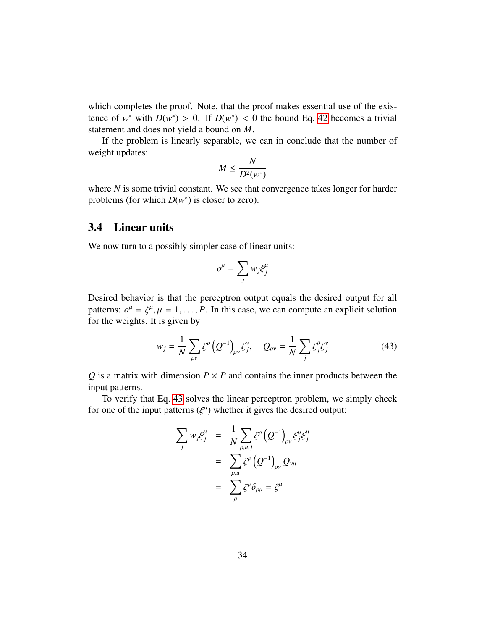which completes the proof. Note, that the proof makes essential use of the existence of *w*<sup>\*</sup> with  $D(w^*) > 0$ . If  $D(w^*) < 0$  the bound Eq. [42](#page-32-1) becomes a trivial statement and does not yield a bound on *M* statement and does not yield a bound on *M*.

If the problem is linearly separable, we can in conclude that the number of weight updates:

$$
M \leq \frac{N}{D^2(w^*)}
$$

where *N* is some trivial constant. We see that convergence takes longer for harder problems (for which  $D(w^*)$  is closer to zero).

## <span id="page-33-0"></span>3.4 Linear units

We now turn to a possibly simpler case of linear units:

$$
o^\mu = \sum_j w_j \xi^\mu_j
$$

Desired behavior is that the perceptron output equals the desired output for all patterns:  $o^{\mu} = \zeta^{\mu}, \mu = 1, ..., P$ . In this case, we can compute an explicit solution for the weights. It is given by for the weights. It is given by

<span id="page-33-1"></span>
$$
w_j = \frac{1}{N} \sum_{\rho \nu} \zeta^{\rho} \left( Q^{-1} \right)_{\rho \nu} \xi_j^{\nu}, \quad Q_{\rho \nu} = \frac{1}{N} \sum_j \xi_j^{\rho} \xi_j^{\nu} \tag{43}
$$

 $Q$  is a matrix with dimension  $P \times P$  and contains the inner products between the input patterns.

To verify that Eq. [43](#page-33-1) solves the linear perceptron problem, we simply check for one of the input patterns  $(\xi^{\mu})$  whether it gives the desired output:

$$
\sum_{j} w_{j} \xi_{j}^{\mu} = \frac{1}{N} \sum_{\rho, u, j} \zeta^{\rho} (Q^{-1})_{\rho \nu} \xi_{j}^{u} \xi_{j}^{\mu}
$$

$$
= \sum_{\rho, u} \zeta^{\rho} (Q^{-1})_{\rho \nu} Q_{\nu \mu}
$$

$$
= \sum_{\rho} \zeta^{\rho} \delta_{\rho \mu} = \zeta^{\mu}
$$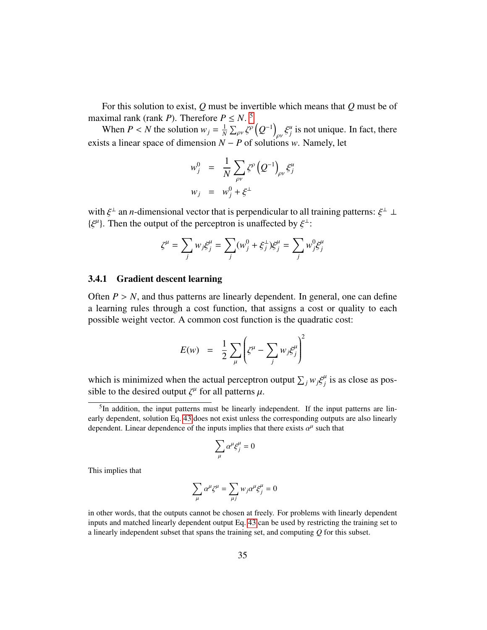For this solution to exist, *Q* must be invertible which means that *Q* must be of maximal rank (rank *P*). Therefore  $P \le N$ .

When *P* < *N* the solution  $w_j = \frac{1}{N}$  $\frac{1}{N} \sum_{\rho \nu} \zeta^{\rho} \left( Q^{-1} \right)_{\rho \nu} \xi^u_j$  is not unique. In fact, there exists a linear space of dimension  $N - P$  of solutions *w*. Namely, let

$$
w_j^0 = \frac{1}{N} \sum_{\rho \nu} \zeta^{\rho} (Q^{-1})_{\rho \nu} \xi_j^u
$$
  

$$
w_j = w_j^0 + \xi^{\perp}
$$

with  $\xi^{\perp}$  an *n*-dimensional vector that is perpendicular to all training patterns:  $\xi^{\perp} \perp$ <br> $\iota \xi^{\mu}$ . Then the output of the perceptron is unaffected by  $\xi^{\perp}$ . { $\xi^{\mu}$ }. Then the output of the perceptron is unaffected by  $\xi^{\perp}$ :

$$
\zeta^{\mu} = \sum_j w_j \xi_j^{\mu} = \sum_j (w_j^0 + \xi_j^{\perp}) \xi_j^{\mu} = \sum_j w_j^0 \xi_j^{\mu}
$$

#### <span id="page-34-0"></span>3.4.1 Gradient descent learning

Often  $P > N$ , and thus patterns are linearly dependent. In general, one can define a learning rules through a cost function, that assigns a cost or quality to each possible weight vector. A common cost function is the quadratic cost:

$$
E(w) = \frac{1}{2} \sum_{\mu} \left( \zeta^{\mu} - \sum_{j} w_{j} \zeta_{j}^{\mu} \right)^{2}
$$

which is minimized when the actual perceptron output  $\sum_j w_j \xi_j^\mu$  is as close as pos-<br>sible to the desired output  $\ell^\mu$  for all patterns u sible to the desired output  $\zeta^{\mu}$  for all patterns  $\mu$ .

$$
\sum_\mu \alpha^\mu \xi^\mu_j = 0
$$

This implies that

$$
\sum_{\mu} \alpha^{\mu} \zeta^{\mu} = \sum_{\mu j} w_j \alpha^{\mu} \xi_j^{\mu} = 0
$$

<span id="page-34-1"></span><sup>&</sup>lt;sup>5</sup>In addition, the input patterns must be linearly independent. If the input patterns are linearly dependent, solution Eq. [43](#page-33-1) does not exist unless the corresponding outputs are also linearly dependent. Linear dependence of the inputs implies that there exists  $\alpha^{\mu}$  such that

in other words, that the outputs cannot be chosen at freely. For problems with linearly dependent inputs and matched linearly dependent output Eq. [43](#page-33-1) can be used by restricting the training set to a linearly independent subset that spans the training set, and computing *Q* for this subset.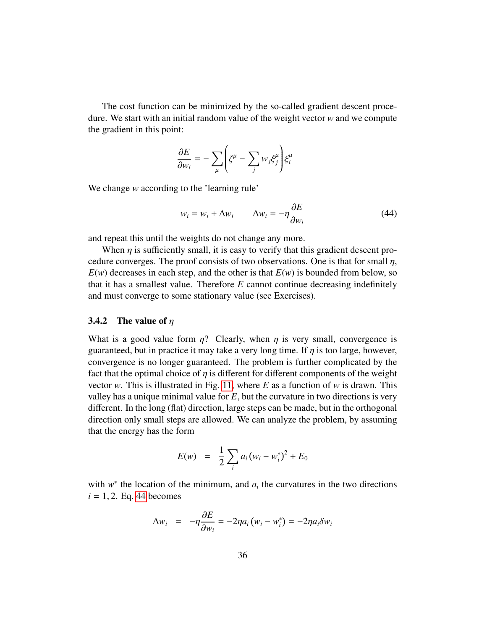The cost function can be minimized by the so-called gradient descent procedure. We start with an initial random value of the weight vector *w* and we compute the gradient in this point:

$$
\frac{\partial E}{\partial w_i} = -\sum_{\mu} \left( \zeta^{\mu} - \sum_j w_j \xi_j^{\mu} \right) \xi_i^{\mu}
$$

We change *w* according to the 'learning rule'

<span id="page-35-1"></span>
$$
w_i = w_i + \Delta w_i \qquad \Delta w_i = -\eta \frac{\partial E}{\partial w_i}
$$
 (44)

and repeat this until the weights do not change any more.

When  $\eta$  is sufficiently small, it is easy to verify that this gradient descent procedure converges. The proof consists of two observations. One is that for small  $\eta$ ,  $E(w)$  decreases in each step, and the other is that  $E(w)$  is bounded from below, so that it has a smallest value. Therefore *E* cannot continue decreasing indefinitely and must converge to some stationary value (see Exercises).

#### <span id="page-35-0"></span>3.4.2 The value of  $\eta$

What is a good value form  $\eta$ ? Clearly, when  $\eta$  is very small, convergence is guaranteed, but in practice it may take a very long time. If  $\eta$  is too large, however, convergence is no longer guaranteed. The problem is further complicated by the fact that the optimal choice of  $\eta$  is different for different components of the weight vector *w*. This is illustrated in Fig. [11,](#page-36-1) where *E* as a function of *w* is drawn. This valley has a unique minimal value for *E*, but the curvature in two directions is very different. In the long (flat) direction, large steps can be made, but in the orthogonal direction only small steps are allowed. We can analyze the problem, by assuming that the energy has the form

$$
E(w) = \frac{1}{2} \sum_{i} a_i (w_i - w_i^*)^2 + E_0
$$

with  $w^*$  the location of the minimum, and  $a_i$  the curvatures in the two directions  $i = 1, 2$ . Eq. [44](#page-35-1) becomes

$$
\Delta w_i = -\eta \frac{\partial E}{\partial w_i} = -2\eta a_i (w_i - w_i^*) = -2\eta a_i \delta w_i
$$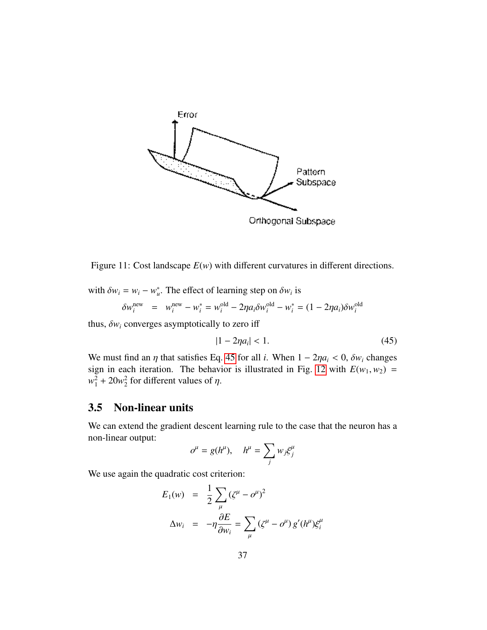

<span id="page-36-1"></span>Figure 11: Cost landscape *E*(*w*) with different curvatures in different directions.

with  $\delta w_i = w_i - w_u^*$ . The effect of learning step on  $\delta w_i$  is

$$
\delta w_i^{\text{new}} = w_i^{\text{new}} - w_i^* = w_i^{\text{old}} - 2\eta a_i \delta w_i^{\text{old}} - w_i^* = (1 - 2\eta a_i) \delta w_i^{\text{old}}
$$

thus,  $\delta w_i$  converges asymptotically to zero iff

<span id="page-36-2"></span>
$$
|1 - 2\eta a_i| < 1. \tag{45}
$$

We must find an  $\eta$  that satisfies Eq. [45](#page-36-2) for all *i*. When  $1 - 2\eta a_i < 0$ ,  $\delta w_i$  changes sign in each iteration. The behavior is illustrated in Fig. [12](#page-37-1) with  $E(w_1, w_2) =$  $w_1^2 + 20w_2^2$  $2<sup>2</sup>$  for different values of  $\eta$ .

## <span id="page-36-0"></span>3.5 Non-linear units

We can extend the gradient descent learning rule to the case that the neuron has a non-linear output:

$$
o^{\mu} = g(h^{\mu}), \quad h^{\mu} = \sum_{j} w_{j} \xi^{\mu}
$$

We use again the quadratic cost criterion:

$$
E_1(w) = \frac{1}{2} \sum_{\mu} (\zeta^{\mu} - \sigma^{\mu})^2
$$
  

$$
\Delta w_i = -\eta \frac{\partial E}{\partial w_i} = \sum_{\mu} (\zeta^{\mu} - \sigma^{\mu}) g'(h^{\mu}) \xi_i^{\mu}
$$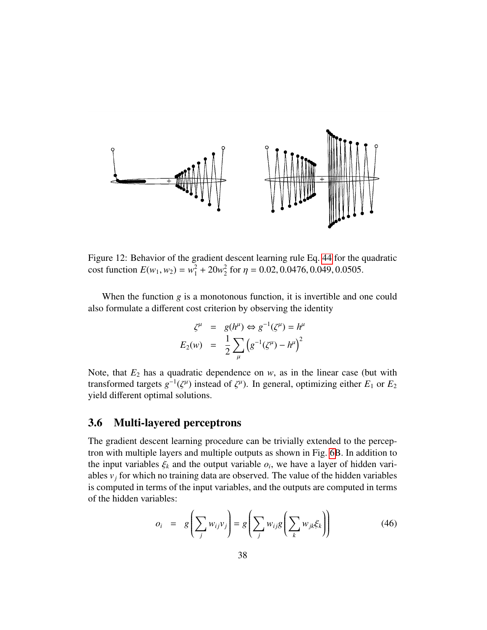

<span id="page-37-1"></span>Figure 12: Behavior of the gradient descent learning rule Eq. [44](#page-35-1) for the quadratic cost function  $E(w_1, w_2) = w_1^2 + 20w_2^2$  $^{2}_{2}$  for  $\eta = 0.02, 0.0476, 0.049, 0.0505$ .

When the function *g* is a monotonous function, it is invertible and one could also formulate a different cost criterion by observing the identity

$$
\zeta^{\mu} = g(h^{\mu}) \Leftrightarrow g^{-1}(\zeta^{\mu}) = h^{\mu}
$$

$$
E_2(w) = \frac{1}{2} \sum_{\mu} \left( g^{-1}(\zeta^{\mu}) - h^{\mu} \right)^2
$$

Note, that  $E_2$  has a quadratic dependence on  $w$ , as in the linear case (but with transformed targets  $g^{-1}(\zeta^{\mu})$  instead of  $\zeta^{\mu}$ ). In general, optimizing either  $E_1$  or  $E_2$ <br>vield different optimal solutions yield different optimal solutions.

## <span id="page-37-0"></span>3.6 Multi-layered perceptrons

The gradient descent learning procedure can be trivially extended to the perceptron with multiple layers and multiple outputs as shown in Fig. [6B](#page-27-2). In addition to the input variables  $\xi_k$  and the output variable  $o_i$ , we have a layer of hidden vari-<br>ables *y*, for which no training data are observed. The value of the hidden variables ables  $v_j$  for which no training data are observed. The value of the hidden variables is computed in terms of the input variables, and the outputs are computed in terms of the hidden variables:

<span id="page-37-2"></span>
$$
o_i = g\left(\sum_j w_{ij} v_j\right) = g\left(\sum_j w_{ij} g\left(\sum_k w_{jk} \xi_k\right)\right)
$$
(46)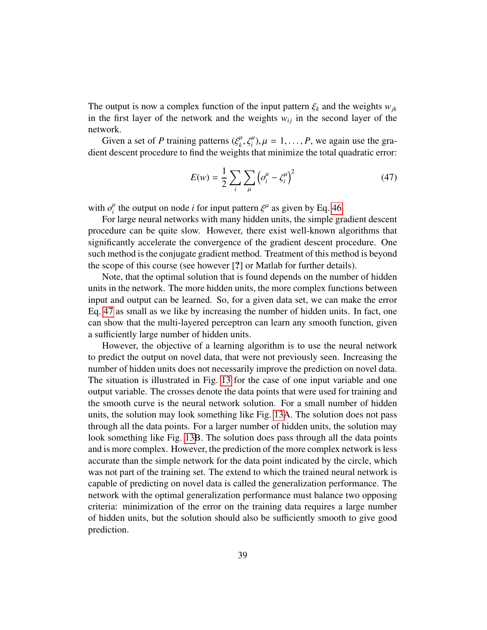The output is now a complex function of the input pattern  $\xi_k$  and the weights  $w_{jk}$ in the first layer of the network and the weights  $w_{ij}$  in the second layer of the network.

Given a set of *P* training patterns  $(\xi_k^{\mu}, \xi_i^{\mu}), \mu = 1, ..., P$ , we again use the gra-<br>of descent procedure to find the weights that minimize the total quadratic error: dient descent procedure to find the weights that minimize the total quadratic error:

<span id="page-38-0"></span>
$$
E(w) = \frac{1}{2} \sum_{i} \sum_{\mu} \left( \sigma_i^{\mu} - \zeta_i^{\mu} \right)^2
$$
 (47)

with  $o_i^{\mu}$  the output on node *i* for input pattern  $\xi^{\mu}$  as given by Eq. [46.](#page-37-2)<br>For large neural networks with many hidden units the simple or

For large neural networks with many hidden units, the simple gradient descent procedure can be quite slow. However, there exist well-known algorithms that significantly accelerate the convergence of the gradient descent procedure. One such method is the conjugate gradient method. Treatment of this method is beyond the scope of this course (see however [?] or Matlab for further details).

Note, that the optimal solution that is found depends on the number of hidden units in the network. The more hidden units, the more complex functions between input and output can be learned. So, for a given data set, we can make the error Eq. [47](#page-38-0) as small as we like by increasing the number of hidden units. In fact, one can show that the multi-layered perceptron can learn any smooth function, given a sufficiently large number of hidden units.

However, the objective of a learning algorithm is to use the neural network to predict the output on novel data, that were not previously seen. Increasing the number of hidden units does not necessarily improve the prediction on novel data. The situation is illustrated in Fig. [13](#page-39-0) for the case of one input variable and one output variable. The crosses denote the data points that were used for training and the smooth curve is the neural network solution. For a small number of hidden units, the solution may look something like Fig. [13A](#page-39-0). The solution does not pass through all the data points. For a larger number of hidden units, the solution may look something like Fig. [13B](#page-39-0). The solution does pass through all the data points and is more complex. However, the prediction of the more complex network is less accurate than the simple network for the data point indicated by the circle, which was not part of the training set. The extend to which the trained neural network is capable of predicting on novel data is called the generalization performance. The network with the optimal generalization performance must balance two opposing criteria: minimization of the error on the training data requires a large number of hidden units, but the solution should also be sufficiently smooth to give good prediction.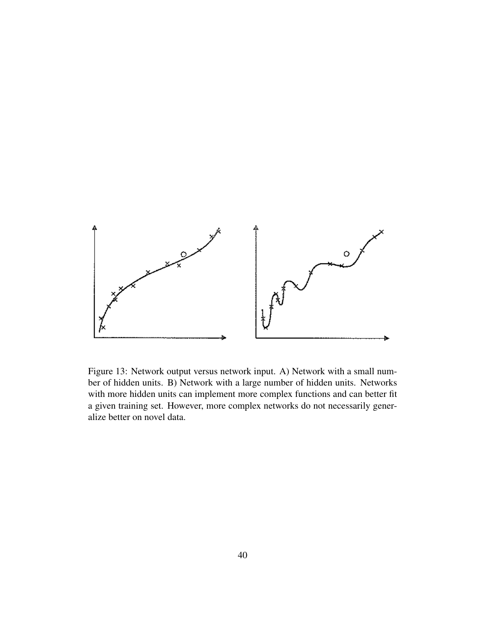

<span id="page-39-0"></span>Figure 13: Network output versus network input. A) Network with a small number of hidden units. B) Network with a large number of hidden units. Networks with more hidden units can implement more complex functions and can better fit a given training set. However, more complex networks do not necessarily generalize better on novel data.